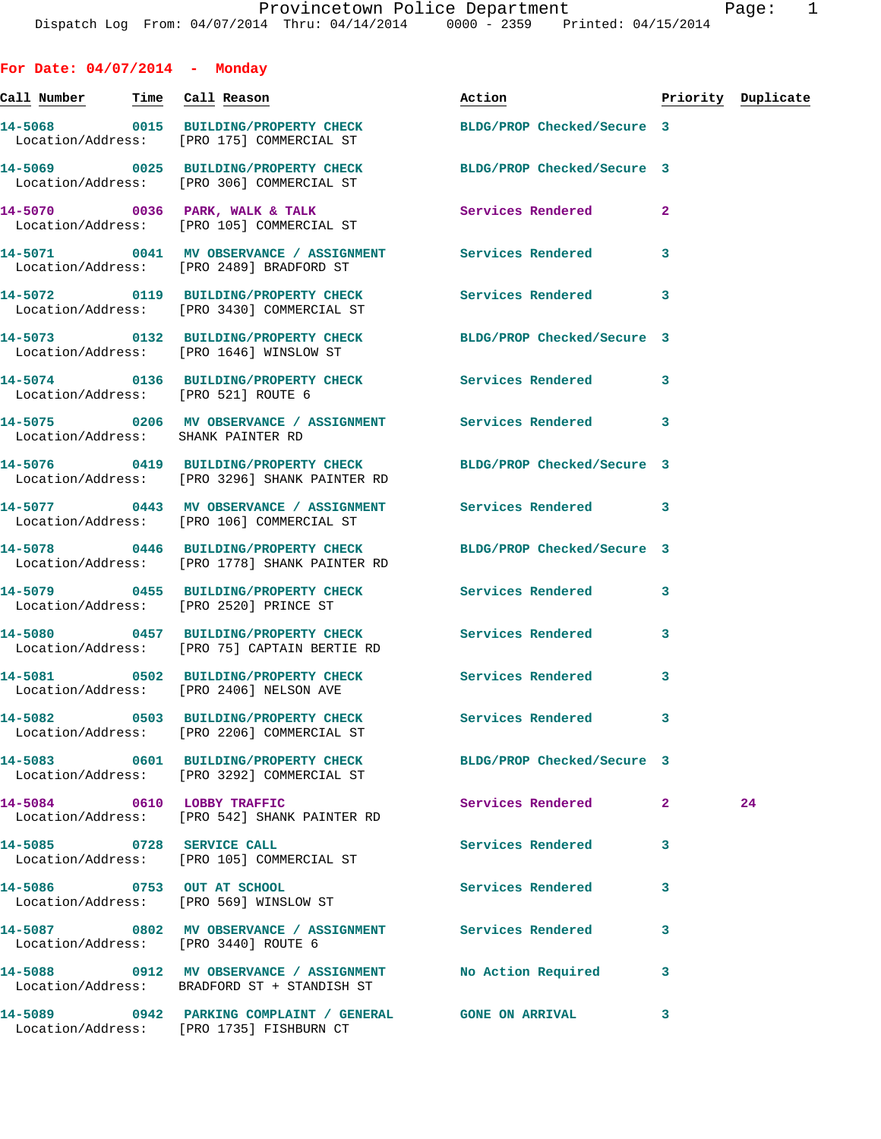**For Date: 04/07/2014 - Monday Call Number Time Call Reason Action Priority Duplicate 14-5068 0015 BUILDING/PROPERTY CHECK BLDG/PROP Checked/Secure 3**  Location/Address: [PRO 175] COMMERCIAL ST **14-5069 0025 BUILDING/PROPERTY CHECK BLDG/PROP Checked/Secure 3**  Location/Address: [PRO 306] COMMERCIAL ST 14-5070 0036 PARK, WALK & TALK **Services Rendered** 2 Location/Address: [PRO 105] COMMERCIAL ST **14-5071 0041 MV OBSERVANCE / ASSIGNMENT Services Rendered 3**  Location/Address: [PRO 2489] BRADFORD ST **14-5072 0119 BUILDING/PROPERTY CHECK Services Rendered 3**  Location/Address: [PRO 3430] COMMERCIAL ST **14-5073 0132 BUILDING/PROPERTY CHECK BLDG/PROP Checked/Secure 3**  Location/Address: [PRO 1646] WINSLOW ST **14-5074 0136 BUILDING/PROPERTY CHECK Services Rendered 3**  Location/Address: [PRO 521] ROUTE 6 **14-5075 0206 MV OBSERVANCE / ASSIGNMENT Services Rendered 3**  Location/Address: SHANK PAINTER RD **14-5076 0419 BUILDING/PROPERTY CHECK BLDG/PROP Checked/Secure 3**  Location/Address: [PRO 3296] SHANK PAINTER RD **14-5077 0443 MV OBSERVANCE / ASSIGNMENT Services Rendered 3**  Location/Address: [PRO 106] COMMERCIAL ST **14-5078 0446 BUILDING/PROPERTY CHECK BLDG/PROP Checked/Secure 3**  Location/Address: [PRO 1778] SHANK PAINTER RD **14-5079 0455 BUILDING/PROPERTY CHECK Services Rendered 3**  Location/Address: [PRO 2520] PRINCE ST **14-5080 0457 BUILDING/PROPERTY CHECK Services Rendered 3**  Location/Address: [PRO 75] CAPTAIN BERTIE RD **14-5081 0502 BUILDING/PROPERTY CHECK Services Rendered 3**  Location/Address: [PRO 2406] NELSON AVE **14-5082 0503 BUILDING/PROPERTY CHECK Services Rendered 3**  Location/Address: [PRO 2206] COMMERCIAL ST **14-5083 0601 BUILDING/PROPERTY CHECK BLDG/PROP Checked/Secure 3**  Location/Address: [PRO 3292] COMMERCIAL ST **14-5084 0610 LOBBY TRAFFIC Services Rendered 2 24**  Location/Address: [PRO 542] SHANK PAINTER RD **14-5085 0728 SERVICE CALL Services Rendered 3**  Location/Address: [PRO 105] COMMERCIAL ST **14-5086 0753 OUT AT SCHOOL Services Rendered 3**  Location/Address: [PRO 569] WINSLOW ST **14-5087 0802 MV OBSERVANCE / ASSIGNMENT Services Rendered 3**  Location/Address: [PRO 3440] ROUTE 6 **14-5088 0912 MV OBSERVANCE / ASSIGNMENT No Action Required 3**  Location/Address: BRADFORD ST + STANDISH ST

**14-5089 0942 PARKING COMPLAINT / GENERAL GONE ON ARRIVAL 3**  Location/Address: [PRO 1735] FISHBURN CT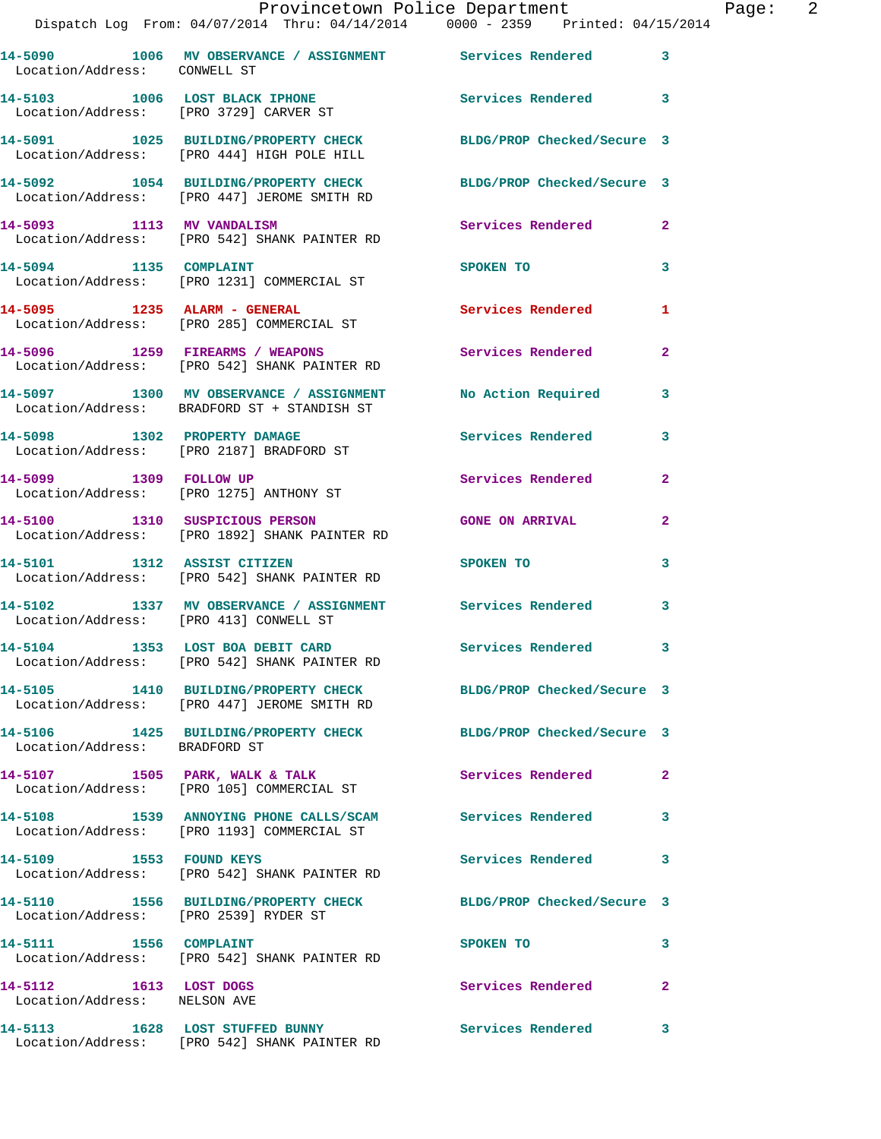|                                                        | Provincetown Police Department<br>Dispatch Log From: 04/07/2014 Thru: 04/14/2014 0000 - 2359 Printed: 04/15/2014 |                            |                |
|--------------------------------------------------------|------------------------------------------------------------------------------------------------------------------|----------------------------|----------------|
| Location/Address: CONWELL ST                           | 14-5090 1006 MV OBSERVANCE / ASSIGNMENT Services Rendered                                                        |                            | 3              |
|                                                        | 14-5103 1006 LOST BLACK IPHONE<br>Location/Address: [PRO 3729] CARVER ST                                         | Services Rendered          | 3              |
|                                                        | 14-5091 1025 BUILDING/PROPERTY CHECK<br>Location/Address: [PRO 444] HIGH POLE HILL                               | BLDG/PROP Checked/Secure 3 |                |
|                                                        | 14-5092 1054 BUILDING/PROPERTY CHECK BLDG/PROP Checked/Secure 3<br>Location/Address: [PRO 447] JEROME SMITH RD   |                            |                |
| 14-5093 1113 MV VANDALISM                              | Location/Address: [PRO 542] SHANK PAINTER RD                                                                     | <b>Services Rendered</b>   | $\overline{2}$ |
| 14-5094 1135 COMPLAINT                                 | Location/Address: [PRO 1231] COMMERCIAL ST                                                                       | SPOKEN TO                  | 3              |
|                                                        | 14-5095 1235 ALARM - GENERAL<br>Location/Address: [PRO 285] COMMERCIAL ST                                        | <b>Services Rendered</b>   | 1              |
|                                                        | 14-5096 1259 FIREARMS / WEAPONS<br>Location/Address: [PRO 542] SHANK PAINTER RD                                  | Services Rendered          | $\mathbf{2}$   |
|                                                        | 14-5097 1300 MV OBSERVANCE / ASSIGNMENT<br>Location/Address: BRADFORD ST + STANDISH ST                           | <b>No Action Required</b>  | 3              |
|                                                        | 14-5098 1302 PROPERTY DAMAGE<br>Location/Address: [PRO 2187] BRADFORD ST                                         | Services Rendered          | 3              |
| 14-5099 1309 FOLLOW UP                                 | Location/Address: [PRO 1275] ANTHONY ST                                                                          | Services Rendered          | $\overline{a}$ |
|                                                        | 14-5100 1310 SUSPICIOUS PERSON<br>Location/Address: [PRO 1892] SHANK PAINTER RD                                  | <b>GONE ON ARRIVAL</b>     | $\mathbf{2}$   |
| 14-5101 1312 ASSIST CITIZEN                            | Location/Address: [PRO 542] SHANK PAINTER RD                                                                     | SPOKEN TO                  | 3              |
| Location/Address: [PRO 413] CONWELL ST                 | 14-5102 1337 MV OBSERVANCE / ASSIGNMENT Services Rendered                                                        |                            | 3              |
|                                                        | 14-5104 1353 LOST BOA DEBIT CARD<br>Location/Address: [PRO 542] SHANK PAINTER RD                                 | <b>Services Rendered</b>   |                |
|                                                        | 14-5105 1410 BUILDING/PROPERTY CHECK BLDG/PROP Checked/Secure 3<br>Location/Address: [PRO 447] JEROME SMITH RD   |                            |                |
| Location/Address: BRADFORD ST                          | 14-5106 1425 BUILDING/PROPERTY CHECK                                                                             | BLDG/PROP Checked/Secure 3 |                |
|                                                        | 14-5107 1505 PARK, WALK & TALK<br>Location/Address: [PRO 105] COMMERCIAL ST                                      | <b>Services Rendered</b>   | $\mathbf{2}$   |
|                                                        | 14-5108 1539 ANNOYING PHONE CALLS/SCAM Services Rendered<br>Location/Address: [PRO 1193] COMMERCIAL ST           |                            | 3              |
| 14-5109 1553 FOUND KEYS                                | Location/Address: [PRO 542] SHANK PAINTER RD                                                                     | Services Rendered          | 3              |
| Location/Address: [PRO 2539] RYDER ST                  | 14-5110 1556 BUILDING/PROPERTY CHECK BLDG/PROP Checked/Secure 3                                                  |                            |                |
| 14-5111 1556 COMPLAINT                                 | Location/Address: [PRO 542] SHANK PAINTER RD                                                                     | SPOKEN TO                  | 3              |
| 14-5112 1613 LOST DOGS<br>Location/Address: NELSON AVE |                                                                                                                  | Services Rendered          | $\mathbf{2}$   |
|                                                        |                                                                                                                  | Services Rendered          | 3              |

Location/Address: [PRO 542] SHANK PAINTER RD

Page: 2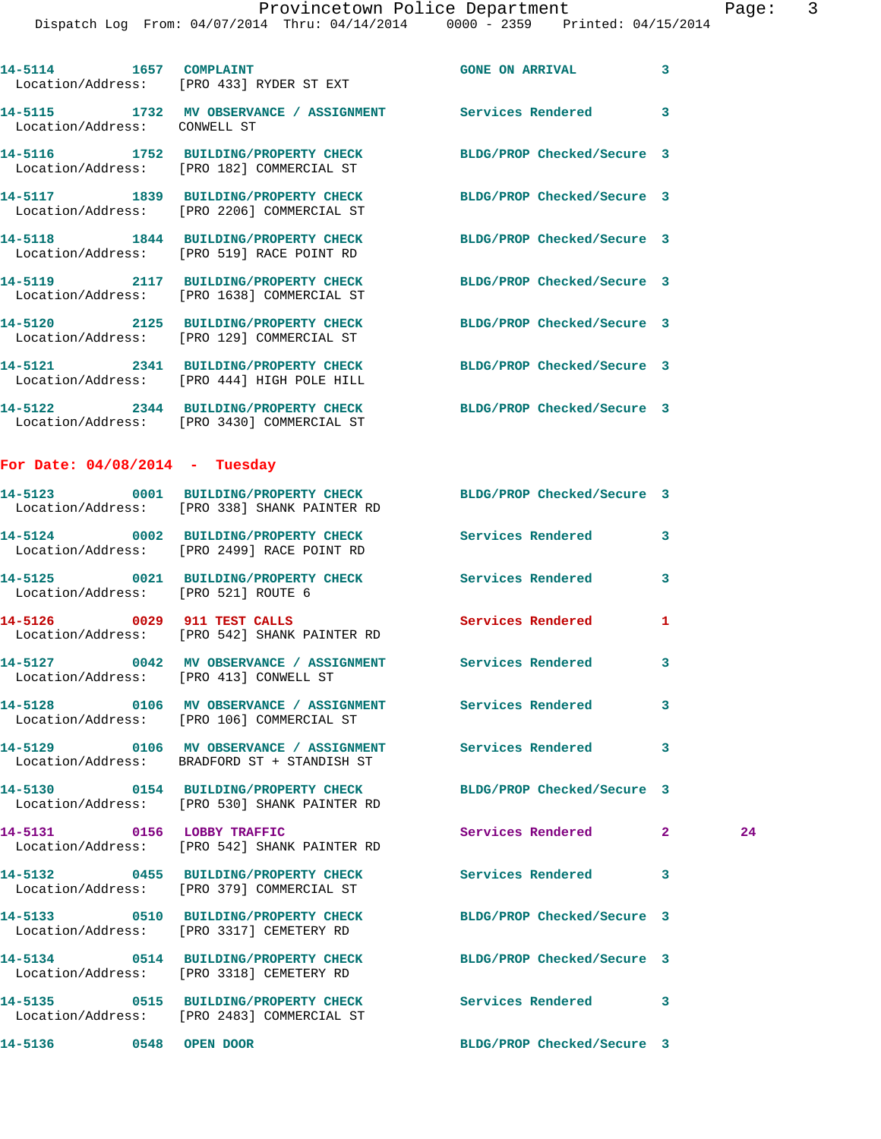Dispatch Log From: 04/07/2014 Thru: 04/14/2014 0000 - 2359 Printed: 04/15/2014

| 14-5114 1657 COMPLAINT                 | Location/Address: [PRO 433] RYDER ST EXT                                                                     | <b>GONE ON ARRIVAL</b>     | 3 |    |
|----------------------------------------|--------------------------------------------------------------------------------------------------------------|----------------------------|---|----|
| Location/Address: CONWELL ST           | 14-5115 1732 MV OBSERVANCE / ASSIGNMENT Services Rendered                                                    | $\sim$ 3                   |   |    |
|                                        | 14-5116 1752 BUILDING/PROPERTY CHECK BLDG/PROP Checked/Secure 3<br>Location/Address: [PRO 182] COMMERCIAL ST |                            |   |    |
|                                        | 14-5117 1839 BUILDING/PROPERTY CHECK<br>Location/Address: [PRO 2206] COMMERCIAL ST                           | BLDG/PROP Checked/Secure 3 |   |    |
|                                        | 14-5118 1844 BUILDING/PROPERTY CHECK<br>Location/Address: [PRO 519] RACE POINT RD                            | BLDG/PROP Checked/Secure 3 |   |    |
|                                        | 14-5119 2117 BUILDING/PROPERTY CHECK<br>Location/Address: [PRO 1638] COMMERCIAL ST                           | BLDG/PROP Checked/Secure 3 |   |    |
|                                        | 14-5120 2125 BUILDING/PROPERTY CHECK<br>Location/Address: [PRO 129] COMMERCIAL ST                            | BLDG/PROP Checked/Secure 3 |   |    |
|                                        | 14-5121 2341 BUILDING/PROPERTY CHECK<br>Location/Address: [PRO 444] HIGH POLE HILL                           | BLDG/PROP Checked/Secure 3 |   |    |
|                                        | 14-5122 2344 BUILDING/PROPERTY CHECK<br>Location/Address: [PRO 3430] COMMERCIAL ST                           | BLDG/PROP Checked/Secure 3 |   |    |
| For Date: $04/08/2014$ - Tuesday       |                                                                                                              |                            |   |    |
|                                        | 14-5123 0001 BUILDING/PROPERTY CHECK<br>Location/Address: [PRO 338] SHANK PAINTER RD                         | BLDG/PROP Checked/Secure 3 |   |    |
|                                        | 14-5124 0002 BUILDING/PROPERTY CHECK<br>Location/Address: [PRO 2499] RACE POINT RD                           | Services Rendered          | 3 |    |
| Location/Address: [PRO 521] ROUTE 6    | 14-5125 0021 BUILDING/PROPERTY CHECK                                                                         | <b>Services Rendered</b>   | 3 |    |
|                                        | 14-5126 0029 911 TEST CALLS<br>Location/Address: [PRO 542] SHANK PAINTER RD                                  | <b>Services Rendered</b>   | 1 |    |
| Location/Address: [PRO 413] CONWELL ST | 14-5127 0042 MV OBSERVANCE / ASSIGNMENT Services Rendered                                                    |                            | 3 |    |
|                                        | 14-5128 0106 MV OBSERVANCE / ASSIGNMENT Services Rendered<br>Location/Address: [PRO 106] COMMERCIAL ST       |                            | 3 |    |
|                                        | 14-5129 0106 MV OBSERVANCE / ASSIGNMENT Services Rendered<br>Location/Address: BRADFORD ST + STANDISH ST     |                            | 3 |    |
|                                        | 14-5130 0154 BUILDING/PROPERTY CHECK<br>Location/Address: [PRO 530] SHANK PAINTER RD                         | BLDG/PROP Checked/Secure 3 |   |    |
| 14-5131 0156 LOBBY TRAFFIC             | Location/Address: [PRO 542] SHANK PAINTER RD                                                                 | Services Rendered 2        |   | 24 |
|                                        | 14-5132 0455 BUILDING/PROPERTY CHECK<br>Location/Address: [PRO 379] COMMERCIAL ST                            | Services Rendered          | 3 |    |
|                                        | 14-5133 0510 BUILDING/PROPERTY CHECK<br>Location/Address: [PRO 3317] CEMETERY RD                             | BLDG/PROP Checked/Secure 3 |   |    |
|                                        | 14-5134 0514 BUILDING/PROPERTY CHECK<br>Location/Address: [PRO 3318] CEMETERY RD                             | BLDG/PROP Checked/Secure 3 |   |    |
|                                        | 14-5135 0515 BUILDING/PROPERTY CHECK<br>Location/Address: [PRO 2483] COMMERCIAL ST                           | Services Rendered          | 3 |    |
| 14-5136 0548 OPEN DOOR                 |                                                                                                              | BLDG/PROP Checked/Secure 3 |   |    |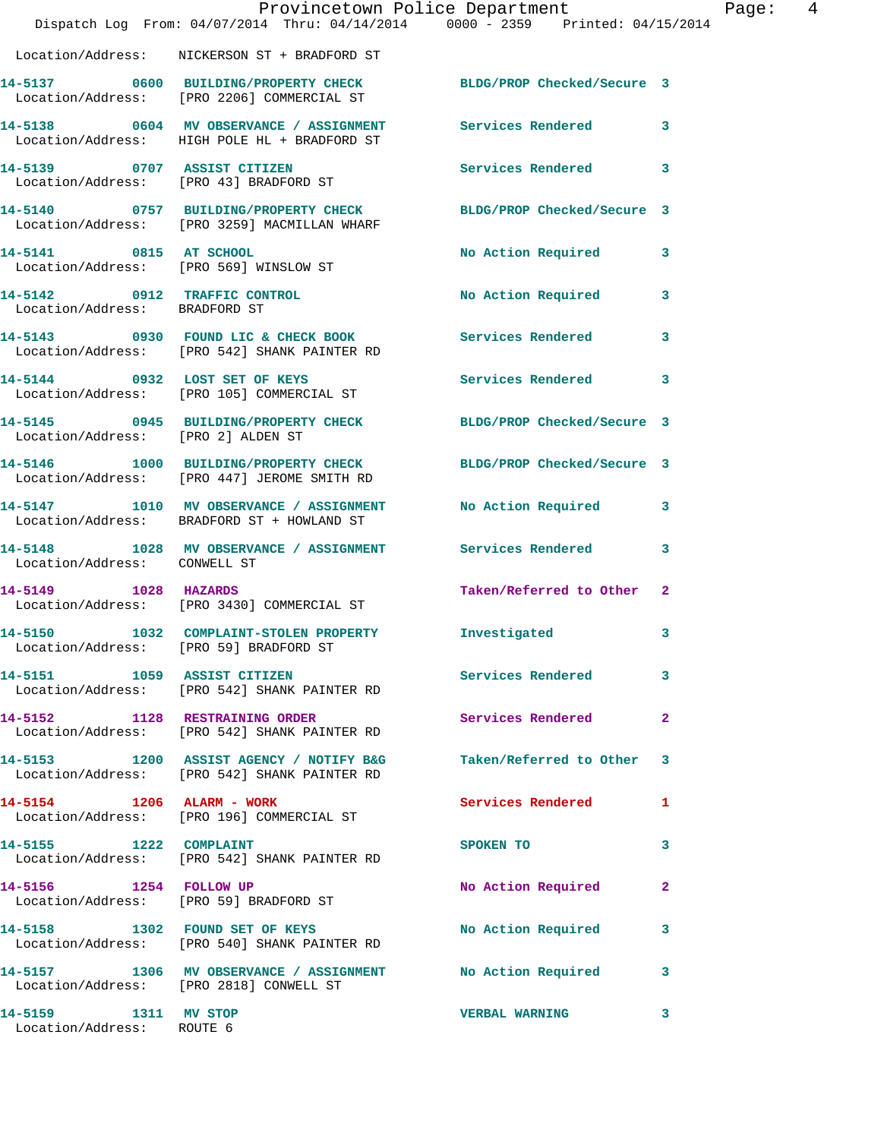|                                                               | Provincetown Police Department<br>Dispatch Log From: 04/07/2014 Thru: 04/14/2014 0000 - 2359 Printed: 04/15/2014 |                            |              |
|---------------------------------------------------------------|------------------------------------------------------------------------------------------------------------------|----------------------------|--------------|
|                                                               | Location/Address: NICKERSON ST + BRADFORD ST                                                                     |                            |              |
|                                                               | 14-5137 0600 BUILDING/PROPERTY CHECK<br>Location/Address: [PRO 2206] COMMERCIAL ST                               | BLDG/PROP Checked/Secure 3 |              |
|                                                               | 14-5138 0604 MV OBSERVANCE / ASSIGNMENT<br>Location/Address: HIGH POLE HL + BRADFORD ST                          | <b>Services Rendered</b>   | 3            |
| 14-5139 0707 ASSIST CITIZEN                                   | Location/Address: [PRO 43] BRADFORD ST                                                                           | Services Rendered          | 3            |
|                                                               | 14-5140 0757 BUILDING/PROPERTY CHECK<br>Location/Address: [PRO 3259] MACMILLAN WHARF                             | BLDG/PROP Checked/Secure 3 |              |
| 14-5141 0815 AT SCHOOL                                        | Location/Address: [PRO 569] WINSLOW ST                                                                           | No Action Required         | 3            |
| 14-5142 0912 TRAFFIC CONTROL<br>Location/Address: BRADFORD ST |                                                                                                                  | No Action Required         | 3            |
|                                                               | 14-5143 0930 FOUND LIC & CHECK BOOK<br>Location/Address: [PRO 542] SHANK PAINTER RD                              | Services Rendered          | 3            |
|                                                               | 14-5144 0932 LOST SET OF KEYS<br>Location/Address: [PRO 105] COMMERCIAL ST                                       | <b>Services Rendered</b>   | 3            |
| Location/Address: [PRO 2] ALDEN ST                            | 14-5145 0945 BUILDING/PROPERTY CHECK                                                                             | BLDG/PROP Checked/Secure 3 |              |
|                                                               | 14-5146 1000 BUILDING/PROPERTY CHECK<br>Location/Address: [PRO 447] JEROME SMITH RD                              | BLDG/PROP Checked/Secure 3 |              |
|                                                               | 14-5147 1010 MV OBSERVANCE / ASSIGNMENT<br>Location/Address: BRADFORD ST + HOWLAND ST                            | No Action Required         | 3            |
| Location/Address: CONWELL ST                                  | 14-5148 1028 MV OBSERVANCE / ASSIGNMENT Services Rendered                                                        |                            | 3            |
| 14-5149 1028 HAZARDS                                          | Location/Address: [PRO 3430] COMMERCIAL ST                                                                       | Taken/Referred to Other    | $\mathbf{2}$ |
|                                                               | 14-5150 1032 COMPLAINT-STOLEN PROPERTY 1nvestigated<br>Location/Address: [PRO 59] BRADFORD ST                    |                            | 3            |
|                                                               | 14-5151 1059 ASSIST CITIZEN<br>Location/Address: [PRO 542] SHANK PAINTER RD                                      | <b>Services Rendered</b>   | 3            |
|                                                               | 14-5152 1128 RESTRAINING ORDER<br>Location/Address: [PRO 542] SHANK PAINTER RD                                   | Services Rendered          | 2            |
|                                                               | 14-5153 1200 ASSIST AGENCY / NOTIFY B&G Taken/Referred to Other<br>Location/Address: [PRO 542] SHANK PAINTER RD  |                            | 3            |
| 14-5154 1206 ALARM - WORK                                     | Location/Address: [PRO 196] COMMERCIAL ST                                                                        | Services Rendered          | 1            |
| 14-5155 1222 COMPLAINT                                        | Location/Address: [PRO 542] SHANK PAINTER RD                                                                     | SPOKEN TO                  | 3            |
| 14-5156 1254 FOLLOW UP                                        | Location/Address: [PRO 59] BRADFORD ST                                                                           | No Action Required         | 2            |
|                                                               | 14-5158 1302 FOUND SET OF KEYS<br>Location/Address: [PRO 540] SHANK PAINTER RD                                   | No Action Required         | 3            |
|                                                               | 14-5157 1306 MV OBSERVANCE / ASSIGNMENT No Action Required<br>Location/Address: [PRO 2818] CONWELL ST            |                            | 3            |
| 14-5159 1311 MV STOP<br>Location/Address: ROUTE 6             |                                                                                                                  | <b>VERBAL WARNING</b>      | 3            |

Page: 4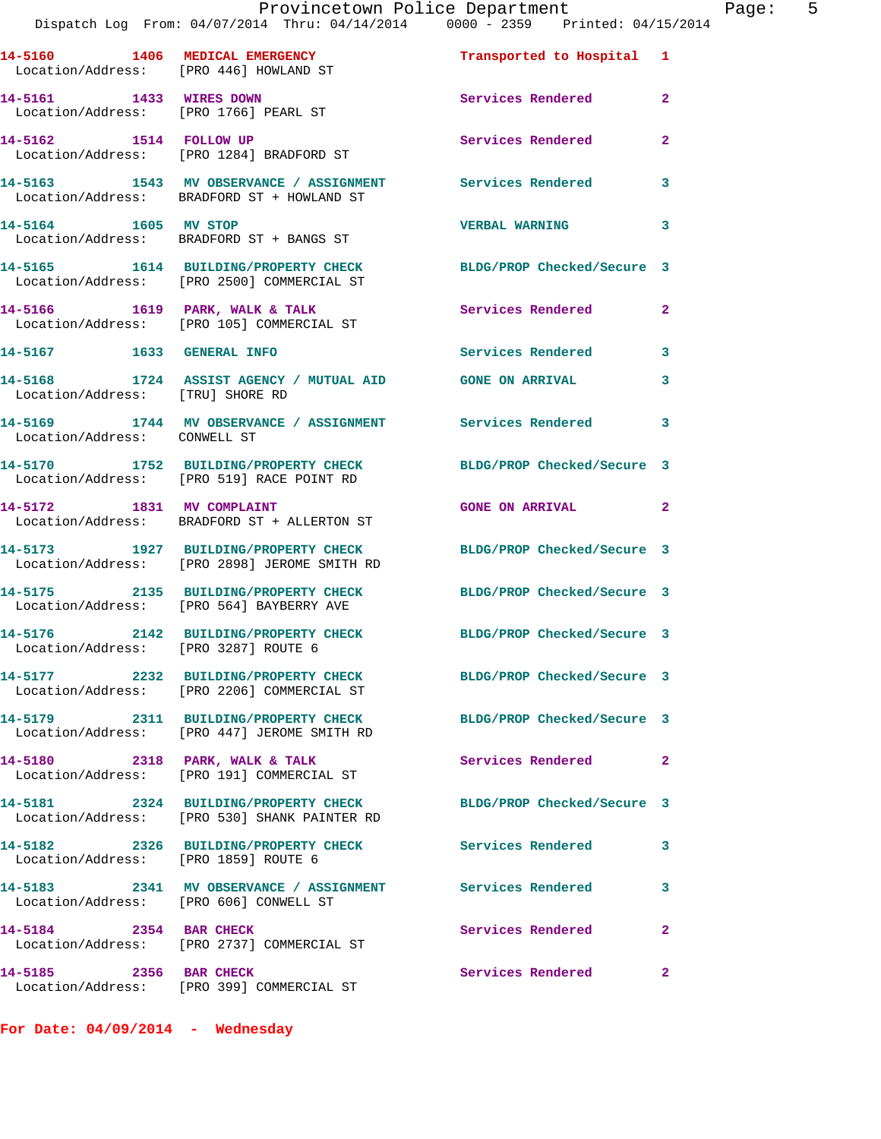|                                                                  | Provincetown Police Department<br>Dispatch Log From: 04/07/2014 Thru: 04/14/2014 0000 - 2359 Printed: 04/15/2014 |                            |                |
|------------------------------------------------------------------|------------------------------------------------------------------------------------------------------------------|----------------------------|----------------|
|                                                                  | 14-5160 1406 MEDICAL EMERGENCY<br>Location/Address: [PRO 446] HOWLAND ST                                         | Transported to Hospital 1  |                |
| 14-5161 1433 WIRES DOWN<br>Location/Address: [PRO 1766] PEARL ST |                                                                                                                  | <b>Services Rendered</b>   | $\overline{2}$ |
| 14-5162 1514 FOLLOW UP                                           | Location/Address: [PRO 1284] BRADFORD ST                                                                         | <b>Services Rendered</b>   | $\mathbf{2}$   |
|                                                                  | 14-5163 1543 MV OBSERVANCE / ASSIGNMENT Services Rendered<br>Location/Address: BRADFORD ST + HOWLAND ST          |                            | 3              |
| 14-5164 1605 MV STOP                                             | Location/Address: BRADFORD ST + BANGS ST                                                                         | <b>VERBAL WARNING</b>      | 3              |
|                                                                  | 14-5165 1614 BUILDING/PROPERTY CHECK BLDG/PROP Checked/Secure 3<br>Location/Address: [PRO 2500] COMMERCIAL ST    |                            |                |
|                                                                  | 14-5166 1619 PARK, WALK & TALK<br>Location/Address: [PRO 105] COMMERCIAL ST                                      | Services Rendered          | $\mathbf{2}$   |
| 14-5167 1633 GENERAL INFO                                        |                                                                                                                  | <b>Services Rendered</b>   | 3              |
| Location/Address: [TRU] SHORE RD                                 | 14-5168 1724 ASSIST AGENCY / MUTUAL AID GONE ON ARRIVAL                                                          |                            | 3              |
| Location/Address: CONWELL ST                                     | 14-5169 1744 MV OBSERVANCE / ASSIGNMENT Services Rendered                                                        |                            | 3              |
|                                                                  | 14-5170 1752 BUILDING/PROPERTY CHECK<br>Location/Address: [PRO 519] RACE POINT RD                                | BLDG/PROP Checked/Secure 3 |                |
| 14-5172 1831 MV COMPLAINT                                        | Location/Address: BRADFORD ST + ALLERTON ST                                                                      | <b>GONE ON ARRIVAL</b>     | $\mathbf{2}$   |
|                                                                  | 14-5173 1927 BUILDING/PROPERTY CHECK<br>Location/Address: [PRO 2898] JEROME SMITH RD                             | BLDG/PROP Checked/Secure 3 |                |
|                                                                  | 14-5175 2135 BUILDING/PROPERTY CHECK<br>Location/Address: [PRO 564] BAYBERRY AVE                                 | BLDG/PROP Checked/Secure 3 |                |
| Location/Address: [PRO 3287] ROUTE 6                             | 14-5176 2142 BUILDING/PROPERTY CHECK BLDG/PROP Checked/Secure 3                                                  |                            |                |
|                                                                  | 14-5177 2232 BUILDING/PROPERTY CHECK BLDG/PROP Checked/Secure 3<br>Location/Address: [PRO 2206] COMMERCIAL ST    |                            |                |
|                                                                  | 14-5179 2311 BUILDING/PROPERTY CHECK<br>Location/Address: [PRO 447] JEROME SMITH RD                              | BLDG/PROP Checked/Secure 3 |                |
|                                                                  | 14-5180 2318 PARK, WALK & TALK<br>Location/Address: [PRO 191] COMMERCIAL ST                                      | Services Rendered          | $\mathbf{2}$   |
|                                                                  | 14-5181 2324 BUILDING/PROPERTY CHECK<br>Location/Address: [PRO 530] SHANK PAINTER RD                             | BLDG/PROP Checked/Secure 3 |                |
| Location/Address: [PRO 1859] ROUTE 6                             | 14-5182 2326 BUILDING/PROPERTY CHECK                                                                             | <b>Services Rendered</b>   | 3              |
| Location/Address: [PRO 606] CONWELL ST                           | 14-5183 2341 MV OBSERVANCE / ASSIGNMENT Services Rendered                                                        |                            | 3              |
| 14-5184 2354 BAR CHECK                                           | Location/Address: [PRO 2737] COMMERCIAL ST                                                                       | <b>Services Rendered</b>   | 2              |
| 14-5185 2356 BAR CHECK                                           | Location/Address: [PRO 399] COMMERCIAL ST                                                                        | Services Rendered          | $\mathbf{2}$   |

**For Date: 04/09/2014 - Wednesday**

Page: 5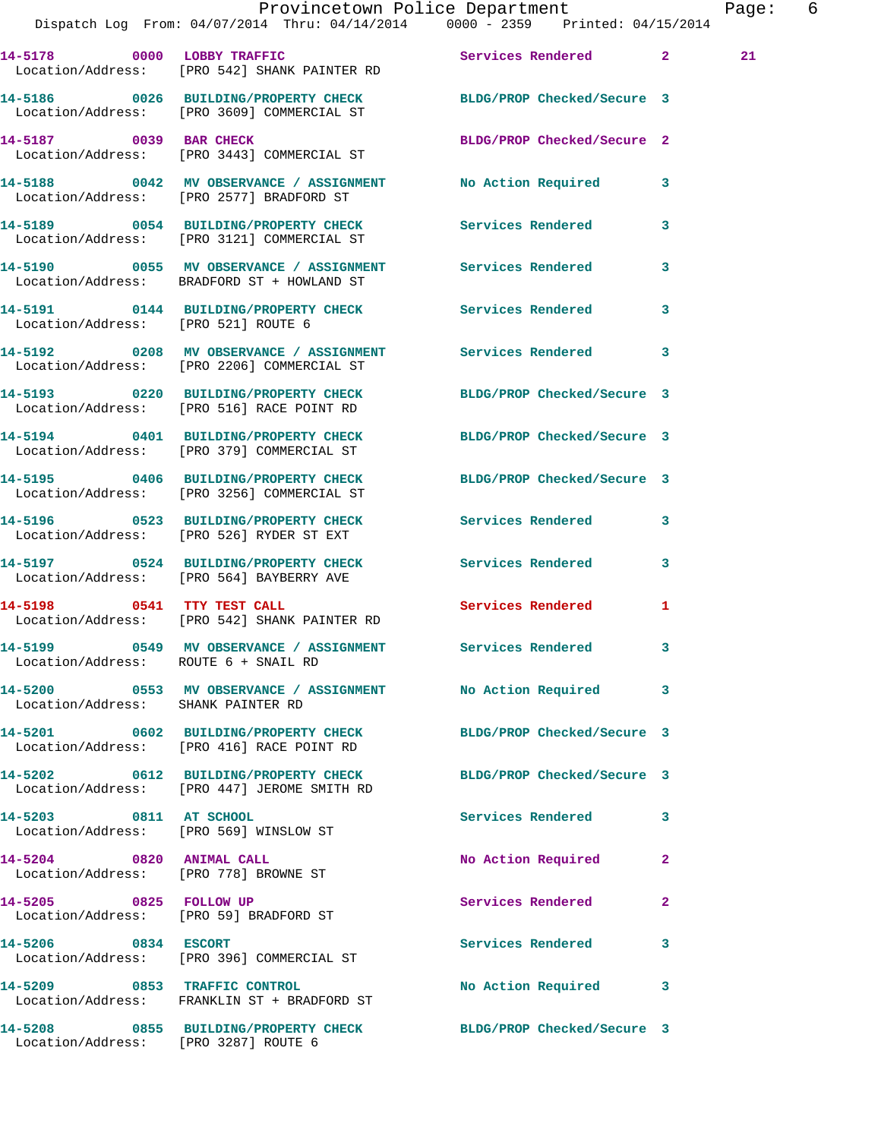|                                                                   | Provincetown Police Department<br>Dispatch Log From: 04/07/2014 Thru: 04/14/2014 0000 - 2359 Printed: 04/15/2014 |                            |              | Page: 6 |  |
|-------------------------------------------------------------------|------------------------------------------------------------------------------------------------------------------|----------------------------|--------------|---------|--|
|                                                                   | 14-5178 0000 LOBBY TRAFFIC Services Rendered 2<br>Location/Address: [PRO 542] SHANK PAINTER RD                   |                            |              | 21      |  |
|                                                                   | 14-5186 0026 BUILDING/PROPERTY CHECK BLDG/PROP Checked/Secure 3<br>Location/Address: [PRO 3609] COMMERCIAL ST    |                            |              |         |  |
|                                                                   | 14-5187 0039 BAR CHECK<br>Location/Address: [PRO 3443] COMMERCIAL ST                                             | BLDG/PROP Checked/Secure 2 |              |         |  |
|                                                                   | 14-5188 0042 MV OBSERVANCE / ASSIGNMENT No Action Required 3<br>Location/Address: [PRO 2577] BRADFORD ST         |                            |              |         |  |
|                                                                   | 14-5189 0054 BUILDING/PROPERTY CHECK Services Rendered<br>Location/Address: [PRO 3121] COMMERCIAL ST             |                            | $\mathbf{3}$ |         |  |
|                                                                   | Location/Address: BRADFORD ST + HOWLAND ST                                                                       |                            | 3            |         |  |
| Location/Address: [PRO 521] ROUTE 6                               | 14-5191 		 0144 BUILDING/PROPERTY CHECK Services Rendered 3                                                      |                            |              |         |  |
|                                                                   | 14-5192 0208 MV OBSERVANCE / ASSIGNMENT Services Rendered<br>Location/Address: [PRO 2206] COMMERCIAL ST          |                            | 3            |         |  |
|                                                                   | 14-5193 0220 BUILDING/PROPERTY CHECK BLDG/PROP Checked/Secure 3<br>Location/Address: [PRO 516] RACE POINT RD     |                            |              |         |  |
|                                                                   | 14-5194 0401 BUILDING/PROPERTY CHECK BLDG/PROP Checked/Secure 3<br>Location/Address: [PRO 379] COMMERCIAL ST     |                            |              |         |  |
|                                                                   | 14-5195 0406 BUILDING/PROPERTY CHECK BLDG/PROP Checked/Secure 3<br>Location/Address: [PRO 3256] COMMERCIAL ST    |                            |              |         |  |
|                                                                   | 14-5196 0523 BUILDING/PROPERTY CHECK Services Rendered<br>Location/Address: [PRO 526] RYDER ST EXT               |                            | $\mathbf{3}$ |         |  |
|                                                                   | 14-5197 0524 BUILDING/PROPERTY CHECK Services Rendered 3<br>Location/Address: [PRO 564] BAYBERRY AVE             |                            |              |         |  |
|                                                                   | 14-5198 0541 TTY TEST CALL<br>Location/Address: [PRO 542] SHANK PAINTER RD                                       | Services Rendered 1        |              |         |  |
| Location/Address: ROUTE 6 + SNAIL RD                              |                                                                                                                  |                            |              |         |  |
| Location/Address: SHANK PAINTER RD                                | 14-5200 0553 MV OBSERVANCE / ASSIGNMENT No Action Required                                                       |                            | 3            |         |  |
|                                                                   | 14-5201 0602 BUILDING/PROPERTY CHECK<br>Location/Address: [PRO 416] RACE POINT RD                                | BLDG/PROP Checked/Secure 3 |              |         |  |
|                                                                   | 14-5202 0612 BUILDING/PROPERTY CHECK BLDG/PROP Checked/Secure 3<br>Location/Address: [PRO 447] JEROME SMITH RD   |                            |              |         |  |
| 14-5203 0811 AT SCHOOL<br>Location/Address: [PRO 569] WINSLOW ST  |                                                                                                                  | Services Rendered 3        |              |         |  |
| 14-5204 0820 ANIMAL CALL<br>Location/Address: [PRO 778] BROWNE ST |                                                                                                                  | No Action Required         | 2            |         |  |
| 14-5205 0825 FOLLOW UP                                            | Location/Address: [PRO 59] BRADFORD ST                                                                           | Services Rendered          | $\mathbf{2}$ |         |  |
|                                                                   | 14-5206 0834 ESCORT<br>Location/Address: [PRO 396] COMMERCIAL ST                                                 | Services Rendered          | 3            |         |  |
| 14-5209 0853 TRAFFIC CONTROL                                      | Location/Address: FRANKLIN ST + BRADFORD ST                                                                      | No Action Required         | 3            |         |  |
|                                                                   | 14-5208 0855 BUILDING/PROPERTY CHECK BLDG/PROP Checked/Secure 3                                                  |                            |              |         |  |

Location/Address: [PRO 3287] ROUTE 6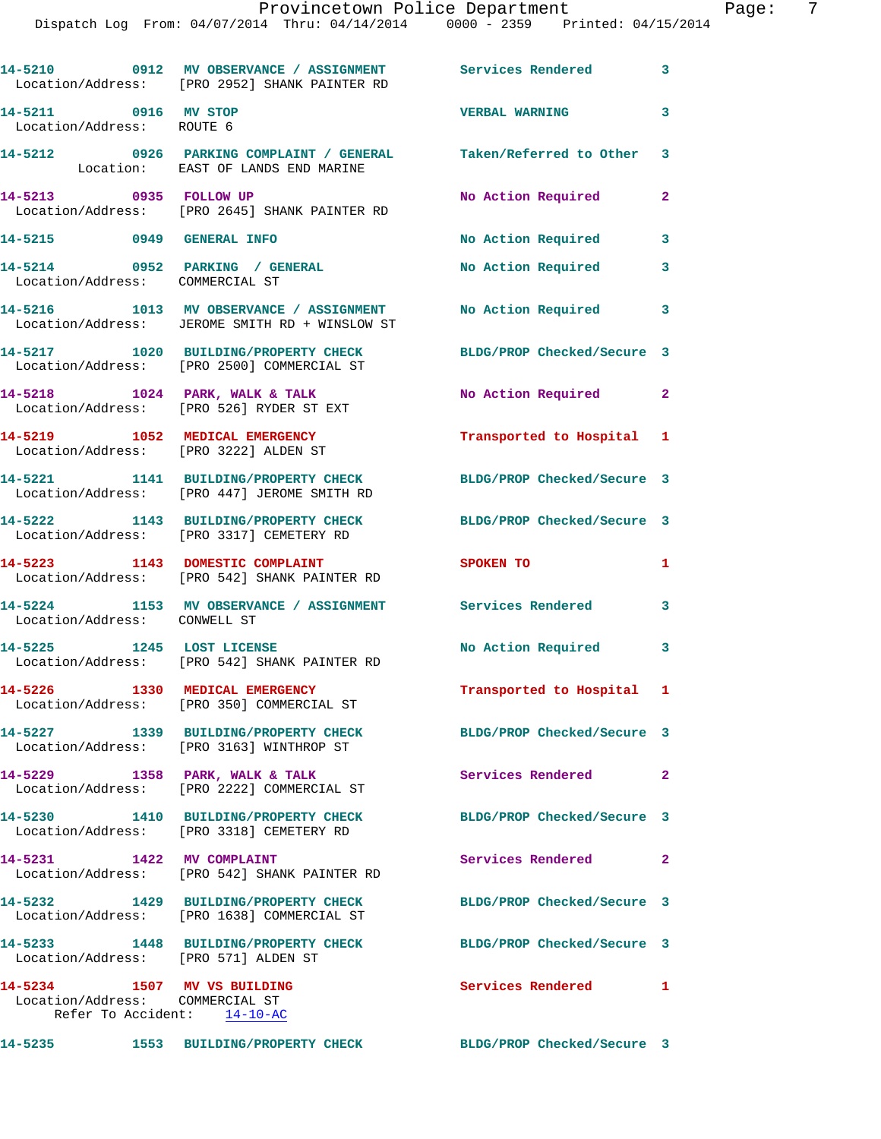## Provincetown Police Department Fage: 7

|                                                                                               | 14-5210 0912 MV OBSERVANCE / ASSIGNMENT Services Rendered 3<br>Location/Address: [PRO 2952] SHANK PAINTER RD |                            |                         |
|-----------------------------------------------------------------------------------------------|--------------------------------------------------------------------------------------------------------------|----------------------------|-------------------------|
| 14-5211 0916 MV STOP<br>Location/Address: ROUTE 6                                             |                                                                                                              | <b>VERBAL WARNING</b>      | 3                       |
|                                                                                               | 14-5212 0926 PARKING COMPLAINT / GENERAL Taken/Referred to Other 3<br>Location: EAST OF LANDS END MARINE     |                            |                         |
| 14-5213 0935 FOLLOW UP                                                                        | Location/Address: [PRO 2645] SHANK PAINTER RD                                                                | No Action Required         | $\overline{2}$          |
| 14-5215 0949 GENERAL INFO                                                                     |                                                                                                              | No Action Required         | $\overline{\mathbf{3}}$ |
| Location/Address: COMMERCIAL ST                                                               | 14-5214 0952 PARKING / GENERAL                                                                               | No Action Required         | 3                       |
|                                                                                               | 14-5216 1013 MV OBSERVANCE / ASSIGNMENT<br>Location/Address: JEROME SMITH RD + WINSLOW ST                    | No Action Required         | 3                       |
|                                                                                               | 14-5217 1020 BUILDING/PROPERTY CHECK<br>Location/Address: [PRO 2500] COMMERCIAL ST                           | BLDG/PROP Checked/Secure 3 |                         |
|                                                                                               | $14-5218$ 1024 PARK, WALK & TALK<br>Location/Address: [PRO 526] RYDER ST EXT                                 | No Action Required 2       |                         |
|                                                                                               | 14-5219 1052 MEDICAL EMERGENCY<br>Location/Address: [PRO 3222] ALDEN ST                                      | Transported to Hospital 1  |                         |
|                                                                                               | 14-5221 1141 BUILDING/PROPERTY CHECK<br>Location/Address: [PRO 447] JEROME SMITH RD                          | BLDG/PROP Checked/Secure 3 |                         |
|                                                                                               | 14-5222 1143 BUILDING/PROPERTY CHECK<br>Location/Address: [PRO 3317] CEMETERY RD                             | BLDG/PROP Checked/Secure 3 |                         |
|                                                                                               | 14-5223 1143 DOMESTIC COMPLAINT<br>Location/Address: [PRO 542] SHANK PAINTER RD                              | SPOKEN TO                  | $\mathbf{1}$            |
| Location/Address: CONWELL ST                                                                  | 14-5224 1153 MV OBSERVANCE / ASSIGNMENT Services Rendered 3                                                  |                            |                         |
|                                                                                               | 14-5225 1245 LOST LICENSE<br>Location/Address: [PRO 542] SHANK PAINTER RD                                    | No Action Required 3       |                         |
|                                                                                               | 14-5226 1330 MEDICAL EMERGENCY<br>Location/Address: [PRO 350] COMMERCIAL ST                                  | Transported to Hospital 1  |                         |
|                                                                                               | 14-5227 1339 BUILDING/PROPERTY CHECK<br>Location/Address: [PRO 3163] WINTHROP ST                             | BLDG/PROP Checked/Secure 3 |                         |
|                                                                                               | 14-5229 1358 PARK, WALK & TALK<br>Location/Address: [PRO 2222] COMMERCIAL ST                                 | Services Rendered          | $\mathbf{2}$            |
|                                                                                               | 14-5230 1410 BUILDING/PROPERTY CHECK<br>Location/Address: [PRO 3318] CEMETERY RD                             | BLDG/PROP Checked/Secure 3 |                         |
| 14-5231 1422 MV COMPLAINT                                                                     | Location/Address: [PRO 542] SHANK PAINTER RD                                                                 | Services Rendered 2        |                         |
|                                                                                               | 14-5232 1429 BUILDING/PROPERTY CHECK<br>Location/Address: [PRO 1638] COMMERCIAL ST                           | BLDG/PROP Checked/Secure 3 |                         |
| Location/Address: [PRO 571] ALDEN ST                                                          | 14-5233 1448 BUILDING/PROPERTY CHECK                                                                         | BLDG/PROP Checked/Secure 3 |                         |
| 14-5234 1507 MV VS BUILDING<br>Location/Address: COMMERCIAL ST<br>Refer To Accident: 14-10-AC |                                                                                                              | <b>Services Rendered</b> 1 |                         |
|                                                                                               | 14-5235 1553 BUILDING/PROPERTY CHECK BLDG/PROP Checked/Secure 3                                              |                            |                         |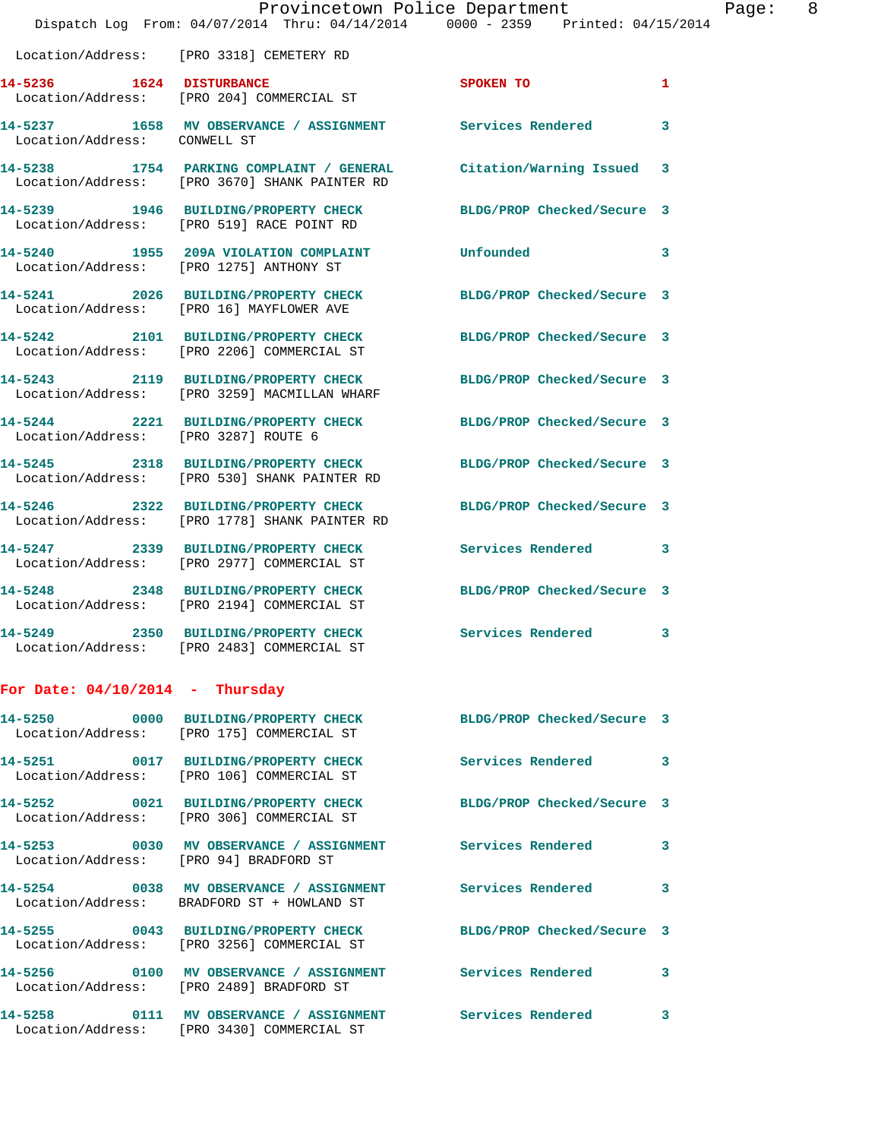|                                      | Dispatch Log From: 04/07/2014 Thru: 04/14/2014 0000 - 2359 Printed: 04/15/2014                                      | Provincetown Police Department | Page: 8                 |  |
|--------------------------------------|---------------------------------------------------------------------------------------------------------------------|--------------------------------|-------------------------|--|
|                                      | Location/Address: [PRO 3318] CEMETERY RD                                                                            |                                |                         |  |
|                                      | 14-5236 1624 DISTURBANCE<br>Location/Address: [PRO 204] COMMERCIAL ST                                               | SPOKEN TO                      | $\mathbf{1}$            |  |
| Location/Address: CONWELL ST         | 14-5237 1658 MV OBSERVANCE / ASSIGNMENT Services Rendered                                                           |                                | $\overline{\mathbf{3}}$ |  |
|                                      | 14-5238 1754 PARKING COMPLAINT / GENERAL Citation/Warning Issued 3<br>Location/Address: [PRO 3670] SHANK PAINTER RD |                                |                         |  |
|                                      | 14-5239 1946 BUILDING/PROPERTY CHECK<br>Location/Address: [PRO 519] RACE POINT RD                                   | BLDG/PROP Checked/Secure 3     |                         |  |
|                                      | 14-5240 1955 209A VIOLATION COMPLAINT Unfounded<br>Location/Address: [PRO 1275] ANTHONY ST                          |                                | 3                       |  |
|                                      | 14-5241 2026 BUILDING/PROPERTY CHECK<br>Location/Address: [PRO 16] MAYFLOWER AVE                                    | BLDG/PROP Checked/Secure 3     |                         |  |
|                                      | 14-5242 2101 BUILDING/PROPERTY CHECK<br>Location/Address: [PRO 2206] COMMERCIAL ST                                  | BLDG/PROP Checked/Secure 3     |                         |  |
|                                      | 14-5243 2119 BUILDING/PROPERTY CHECK<br>Location/Address: [PRO 3259] MACMILLAN WHARF                                | BLDG/PROP Checked/Secure 3     |                         |  |
| Location/Address: [PRO 3287] ROUTE 6 | 14-5244 2221 BUILDING/PROPERTY CHECK BLDG/PROP Checked/Secure 3                                                     |                                |                         |  |
|                                      | 14-5245 2318 BUILDING/PROPERTY CHECK<br>Location/Address: [PRO 530] SHANK PAINTER RD                                | BLDG/PROP Checked/Secure 3     |                         |  |
|                                      | 14-5246 2322 BUILDING/PROPERTY CHECK BLDG/PROP Checked/Secure 3<br>Location/Address: [PRO 1778] SHANK PAINTER RD    |                                |                         |  |
|                                      | 14-5247 2339 BUILDING/PROPERTY CHECK<br>Location/Address: [PRO 2977] COMMERCIAL ST                                  | Services Rendered 3            |                         |  |
|                                      | 14-5248 2348 BUILDING/PROPERTY CHECK<br>Location/Address: [PRO 2194] COMMERCIAL ST                                  | BLDG/PROP Checked/Secure 3     |                         |  |
|                                      | 14-5249 2350 BUILDING/PROPERTY CHECK<br>Location/Address: [PRO 2483] COMMERCIAL ST                                  | Services Rendered 3            |                         |  |

## **For Date: 04/10/2014 - Thursday**

|                                        | Location/Address: [PRO 175] COMMERCIAL ST                                                       | BLDG/PROP Checked/Secure 3 |              |
|----------------------------------------|-------------------------------------------------------------------------------------------------|----------------------------|--------------|
|                                        | 14-5251 0017 BUILDING/PROPERTY CHECK<br>Location/Address: [PRO 106] COMMERCIAL ST               | Services Rendered          | $\mathbf{3}$ |
|                                        | 14-5252 0021 BUILDING/PROPERTY CHECK<br>Location/Address: [PRO 306] COMMERCIAL ST               | BLDG/PROP Checked/Secure 3 |              |
| Location/Address: [PRO 94] BRADFORD ST | 14-5253                0030     MV OBSERVANCE  /  ASSIGNMENT                  Services Rendered |                            | 3            |
|                                        | Location/Address: BRADFORD ST + HOWLAND ST                                                      | <b>Services Rendered</b>   | 3            |
|                                        | 14-5255 0043 BUILDING/PROPERTY CHECK<br>Location/Address: [PRO 3256] COMMERCIAL ST              | BLDG/PROP Checked/Secure 3 |              |
|                                        | Location/Address: [PRO 2489] BRADFORD ST                                                        |                            | 3            |
| Location/Address:                      | 14-5258 0111 MV OBSERVANCE / ASSIGNMENT<br>[PRO 3430] COMMERCIAL ST                             | <b>Services Rendered</b>   | 3            |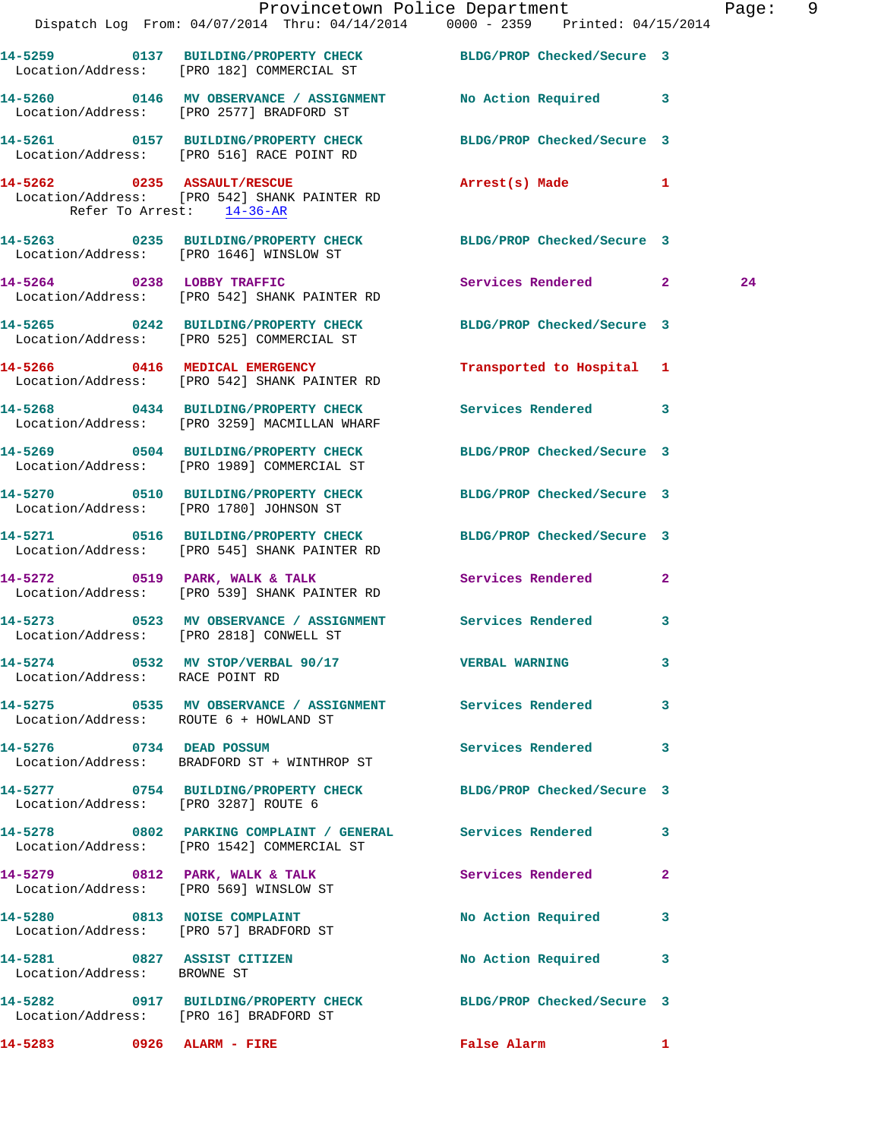|                                                            | Dispatch Log From: 04/07/2014 Thru: 04/14/2014 0000 - 2359 Printed: 04/15/2014                                  | Provincetown Police Department |              | Page: 9 |  |
|------------------------------------------------------------|-----------------------------------------------------------------------------------------------------------------|--------------------------------|--------------|---------|--|
|                                                            | 14-5259 0137 BUILDING/PROPERTY CHECK BLDG/PROP Checked/Secure 3<br>Location/Address: [PRO 182] COMMERCIAL ST    |                                |              |         |  |
|                                                            | 14-5260 0146 MV OBSERVANCE / ASSIGNMENT No Action Required 3<br>Location/Address: [PRO 2577] BRADFORD ST        |                                |              |         |  |
|                                                            | 14-5261 0157 BUILDING/PROPERTY CHECK BLDG/PROP Checked/Secure 3<br>Location/Address: [PRO 516] RACE POINT RD    |                                |              |         |  |
| Refer To Arrest: 14-36-AR                                  | 14-5262 0235 ASSAULT/RESCUE<br>Location/Address: [PRO 542] SHANK PAINTER RD                                     | Arrest(s) Made 1               |              |         |  |
|                                                            | 14-5263 0235 BUILDING/PROPERTY CHECK BLDG/PROP Checked/Secure 3<br>Location/Address: [PRO 1646] WINSLOW ST      |                                |              |         |  |
|                                                            | 14-5264 0238 LOBBY TRAFFIC<br>Location/Address: [PRO 542] SHANK PAINTER RD                                      | Services Rendered 2            |              | 24      |  |
|                                                            | 14-5265 0242 BUILDING/PROPERTY CHECK BLDG/PROP Checked/Secure 3<br>Location/Address: [PRO 525] COMMERCIAL ST    |                                |              |         |  |
|                                                            | 14-5266 0416 MEDICAL EMERGENCY<br>Location/Address: [PRO 542] SHANK PAINTER RD                                  | Transported to Hospital 1      |              |         |  |
|                                                            | 14-5268 0434 BUILDING/PROPERTY CHECK Services Rendered 3<br>Location/Address: [PRO 3259] MACMILLAN WHARF        |                                |              |         |  |
|                                                            | 14-5269 0504 BUILDING/PROPERTY CHECK BLDG/PROP Checked/Secure 3<br>Location/Address: [PRO 1989] COMMERCIAL ST   |                                |              |         |  |
|                                                            | 14-5270 0510 BUILDING/PROPERTY CHECK BLDG/PROP Checked/Secure 3<br>Location/Address: [PRO 1780] JOHNSON ST      |                                |              |         |  |
|                                                            | 14-5271 0516 BUILDING/PROPERTY CHECK BLDG/PROP Checked/Secure 3<br>Location/Address: [PRO 545] SHANK PAINTER RD |                                |              |         |  |
|                                                            | $14-5272$ 0519 PARK, WALK & TALK<br>Location/Address: [PRO 539] SHANK PAINTER RD                                | Services Rendered              | $\mathbf{2}$ |         |  |
|                                                            | 14-5273 0523 MV OBSERVANCE / ASSIGNMENT Services Rendered 3<br>Location/Address: [PRO 2818] CONWELL ST          |                                |              |         |  |
| Location/Address: RACE POINT RD                            | 14-5274 0532 MV STOP/VERBAL 90/17 VERBAL WARNING 3                                                              |                                |              |         |  |
| Location/Address: ROUTE 6 + HOWLAND ST                     | 14-5275 0535 MV OBSERVANCE / ASSIGNMENT Services Rendered 3                                                     |                                |              |         |  |
| 14-5276 0734 DEAD POSSUM                                   | Location/Address: BRADFORD ST + WINTHROP ST                                                                     | Services Rendered 3            |              |         |  |
| Location/Address: [PRO 3287] ROUTE 6                       | 14-5277 0754 BUILDING/PROPERTY CHECK BLDG/PROP Checked/Secure 3                                                 |                                |              |         |  |
|                                                            | 14-5278 0802 PARKING COMPLAINT / GENERAL Services Rendered 3<br>Location/Address: [PRO 1542] COMMERCIAL ST      |                                |              |         |  |
|                                                            |                                                                                                                 | <b>Services Rendered</b>       | $\mathbf{2}$ |         |  |
|                                                            | 14-5280 0813 NOISE COMPLAINT<br>Location/Address: [PRO 57] BRADFORD ST                                          | No Action Required 3           |              |         |  |
| 14-5281 0827 ASSIST CITIZEN<br>Location/Address: BROWNE ST |                                                                                                                 | No Action Required 3           |              |         |  |
| Location/Address: [PRO 16] BRADFORD ST                     | 14-5282 0917 BUILDING/PROPERTY CHECK BLDG/PROP Checked/Secure 3                                                 |                                |              |         |  |
| 14-5283 0926 ALARM - FIRE                                  |                                                                                                                 | False Alarm 1                  |              |         |  |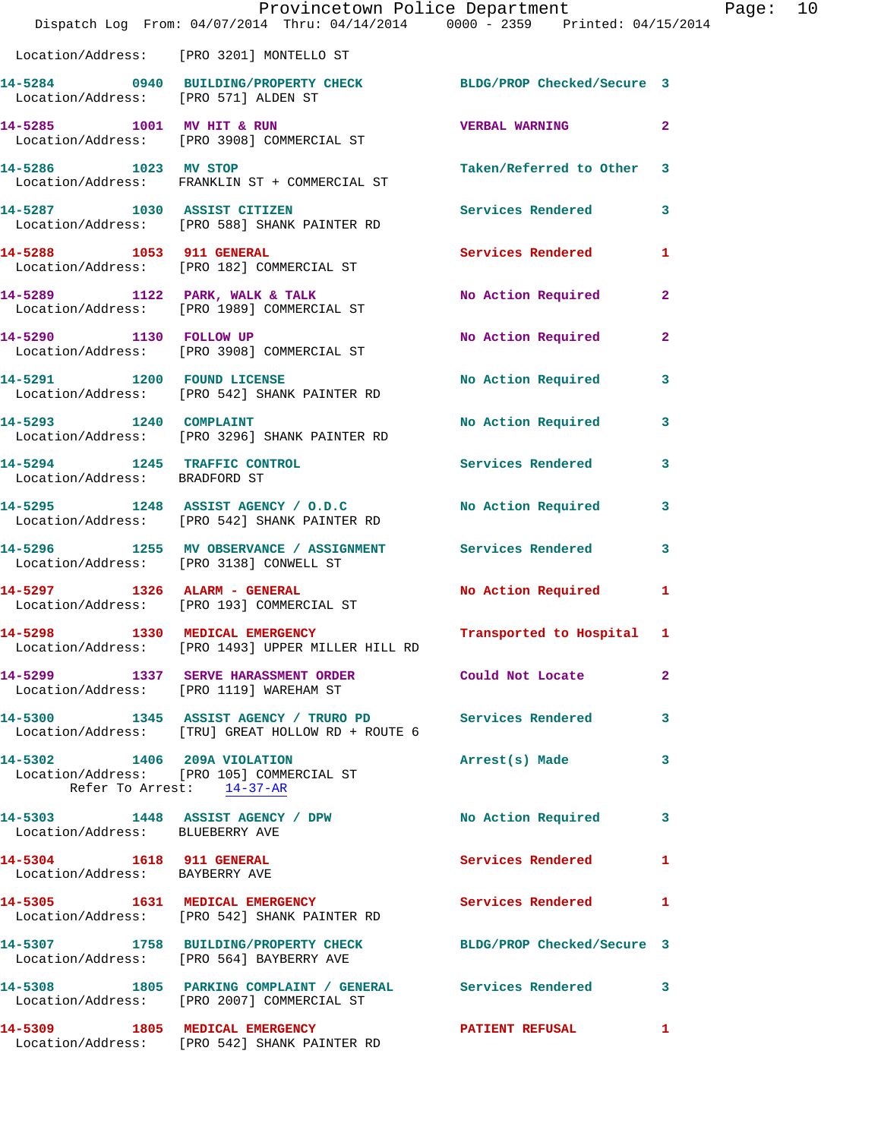|                                 | Dispatch Log From: 04/07/2014 Thru: 04/14/2014 0000 - 2359 Printed: 04/15/2014                               | Provincetown Police Department Page: 10 |              |  |
|---------------------------------|--------------------------------------------------------------------------------------------------------------|-----------------------------------------|--------------|--|
|                                 | Location/Address: [PRO 3201] MONTELLO ST                                                                     |                                         |              |  |
|                                 | 14-5284 0940 BUILDING/PROPERTY CHECK BLDG/PROP Checked/Secure 3<br>Location/Address: [PRO 571] ALDEN ST      |                                         |              |  |
|                                 | 14-5285 1001 MV HIT & RUN<br>Location/Address: [PRO 3908] COMMERCIAL ST                                      | <b>VERBAL WARNING</b>                   | $\mathbf{2}$ |  |
| 14-5286 1023 MV STOP            | Location/Address: FRANKLIN ST + COMMERCIAL ST                                                                | Taken/Referred to Other 3               |              |  |
|                                 | 14-5287 1030 ASSIST CITIZEN<br>Location/Address: [PRO 588] SHANK PAINTER RD                                  | Services Rendered                       | 3            |  |
| 14-5288 1053 911 GENERAL        | Location/Address: [PRO 182] COMMERCIAL ST                                                                    | <b>Services Rendered</b>                | 1            |  |
|                                 |                                                                                                              | No Action Required                      | $\mathbf{2}$ |  |
|                                 | 14-5290 1130 FOLLOW UP<br>Location/Address: [PRO 3908] COMMERCIAL ST                                         | No Action Required                      | $\mathbf{2}$ |  |
|                                 | 14-5291 1200 FOUND LICENSE<br>Location/Address: [PRO 542] SHANK PAINTER RD                                   | No Action Required 3                    |              |  |
|                                 | 14-5293 1240 COMPLAINT<br>Location/Address: [PRO 3296] SHANK PAINTER RD                                      | No Action Required                      | 3            |  |
| Location/Address: BRADFORD ST   | 14-5294 1245 TRAFFIC CONTROL                                                                                 | Services Rendered 3                     |              |  |
|                                 | 14-5295 1248 ASSIST AGENCY / O.D.C No Action Required<br>Location/Address: [PRO 542] SHANK PAINTER RD        |                                         | 3            |  |
|                                 | 14-5296 1255 MV OBSERVANCE / ASSIGNMENT Services Rendered 3<br>Location/Address: [PRO 3138] CONWELL ST       |                                         |              |  |
|                                 | 14-5297 1326 ALARM - GENERAL<br>Location/Address: [PRO 193] COMMERCIAL ST                                    | No Action Required                      | 1            |  |
| 14-5298                         | 1330 MEDICAL EMERGENCY<br>Location/Address: [PRO 1493] UPPER MILLER HILL RD                                  | Transported to Hospital 1               |              |  |
|                                 | 14-5299 1337 SERVE HARASSMENT ORDER Could Not Locate<br>Location/Address: [PRO 1119] WAREHAM ST              |                                         | $\mathbf{2}$ |  |
|                                 | 14-5300 1345 ASSIST AGENCY / TRURO PD Services Rendered<br>Location/Address: [TRU] GREAT HOLLOW RD + ROUTE 6 |                                         | $\mathbf{3}$ |  |
| 14-5302 1406 209A VIOLATION     | Location/Address: [PRO 105] COMMERCIAL ST<br>Refer To Arrest: 14-37-AR                                       | Arrest(s) Made                          | 3            |  |
| Location/Address: BLUEBERRY AVE | 14-5303 1448 ASSIST AGENCY / DPW No Action Required 3                                                        |                                         |              |  |
| Location/Address: BAYBERRY AVE  | 14-5304 1618 911 GENERAL                                                                                     | <b>Services Rendered</b>                | 1            |  |
|                                 | 14-5305 1631 MEDICAL EMERGENCY Services Rendered 1<br>Location/Address: [PRO 542] SHANK PAINTER RD           |                                         |              |  |
|                                 | 14-5307 1758 BUILDING/PROPERTY CHECK BLDG/PROP Checked/Secure 3<br>Location/Address: [PRO 564] BAYBERRY AVE  |                                         |              |  |
|                                 | 14-5308 1805 PARKING COMPLAINT / GENERAL Services Rendered 3<br>Location/Address: [PRO 2007] COMMERCIAL ST   |                                         |              |  |
|                                 | 14-5309 1805 MEDICAL EMERGENCY<br>Location/Address: [PRO 542] SHANK PAINTER RD                               | PATIENT REFUSAL                         | 1            |  |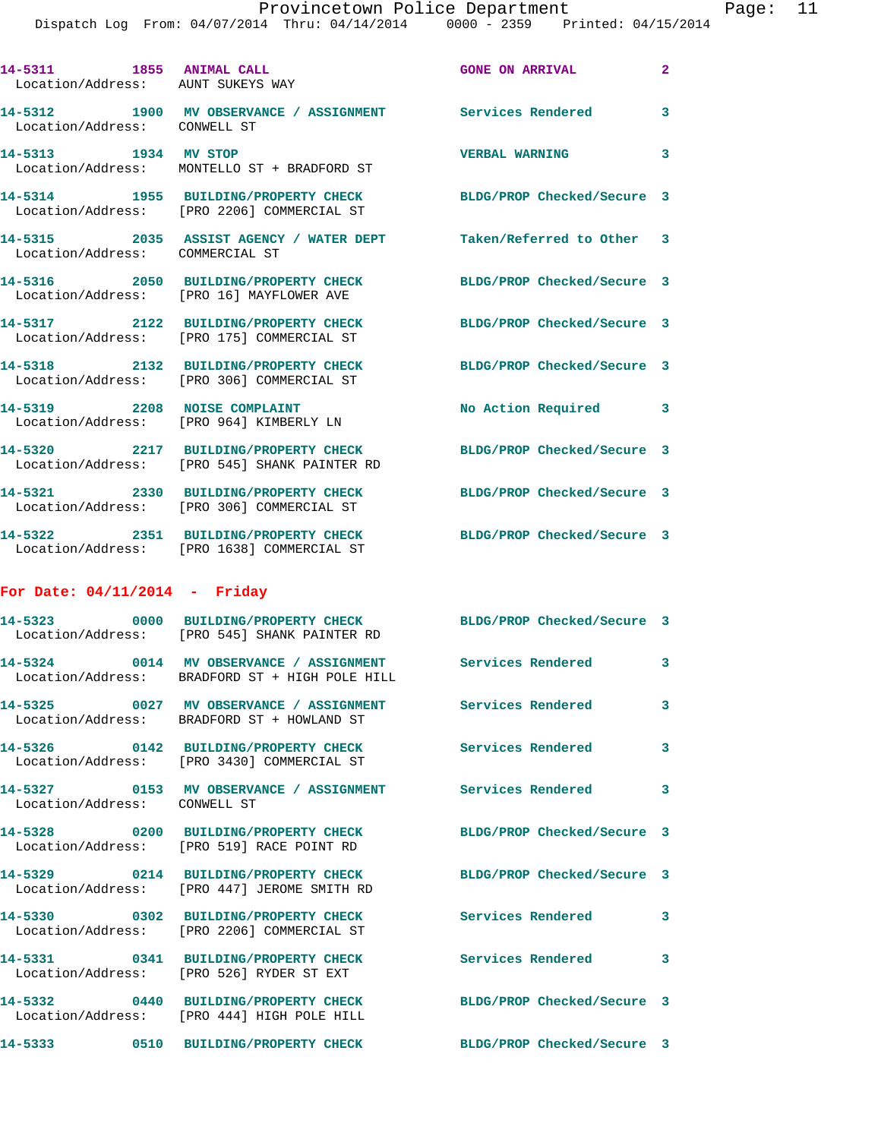|                                 |                                                                                           | Dispatch Log From: 04/07/2014 Thru: 04/14/2014 0000 - 2359 Printed: 04/15/2014 |                            |
|---------------------------------|-------------------------------------------------------------------------------------------|--------------------------------------------------------------------------------|----------------------------|
|                                 | 14-5311 1855 ANIMAL CALL<br>Location/Address: AUNT SUKEYS WAY                             | <b>GONE ON ARRIVAL</b>                                                         | $\overline{2}$             |
| Location/Address: CONWELL ST    |                                                                                           | 14-5312 1900 MV OBSERVANCE / ASSIGNMENT Services Rendered                      | 3                          |
| 14-5313 1934 MV STOP            | Location/Address: MONTELLO ST + BRADFORD ST                                               | <b>VERBAL WARNING</b>                                                          | 3                          |
|                                 | 14-5314 1955 BUILDING/PROPERTY CHECK<br>Location/Address: [PRO 2206] COMMERCIAL ST        |                                                                                | BLDG/PROP Checked/Secure 3 |
| Location/Address: COMMERCIAL ST |                                                                                           | 14-5315 2035 ASSIST AGENCY / WATER DEPT Taken/Referred to Other 3              |                            |
|                                 | Location/Address: [PRO 16] MAYFLOWER AVE                                                  | 14-5316 2050 BUILDING/PROPERTY CHECK BLDG/PROP Checked/Secure 3                |                            |
|                                 | Location/Address: [PRO 175] COMMERCIAL ST                                                 | 14-5317 2122 BUILDING/PROPERTY CHECK BLDG/PROP Checked/Secure 3                |                            |
|                                 | 14-5318 2132 BUILDING/PROPERTY CHECK<br>Location/Address: [PRO 306] COMMERCIAL ST         | BLDG/PROP Checked/Secure 3                                                     |                            |
|                                 | 14-5319 2208 NOISE COMPLAINT<br>Location/Address: [PRO 964] KIMBERLY LN                   |                                                                                | No Action Required<br>3    |
|                                 | 14-5320 2217 BUILDING/PROPERTY CHECK<br>Location/Address: [PRO 545] SHANK PAINTER RD      |                                                                                | BLDG/PROP Checked/Secure 3 |
|                                 | 14-5321 2330 BUILDING/PROPERTY CHECK<br>Location/Address: [PRO 306] COMMERCIAL ST         |                                                                                | BLDG/PROP Checked/Secure 3 |
|                                 | Location/Address: [PRO 1638] COMMERCIAL ST                                                | 14-5322 2351 BUILDING/PROPERTY CHECK BLDG/PROP Checked/Secure 3                |                            |
| For Date: $04/11/2014$ - Friday |                                                                                           |                                                                                |                            |
|                                 | Location/Address: [PRO 545] SHANK PAINTER RD                                              | 14-5323 0000 BUILDING/PROPERTY CHECK BLDG/PROP Checked/Secure 3                |                            |
|                                 | 14-5324 0014 MV OBSERVANCE / ASSIGNMENT<br>Location/Address: BRADFORD ST + HIGH POLE HILL |                                                                                | <b>Services Rendered</b>   |
|                                 | Location/Address: BRADFORD ST + HOWLAND ST                                                | 14-5325 0027 MV OBSERVANCE / ASSIGNMENT Services Rendered                      | 3                          |
|                                 | 14-5326 0142 BUILDING/PROPERTY CHECK<br>Location/Address: [PRO 3430] COMMERCIAL ST        | <b>Services Rendered</b>                                                       | 3                          |
| Location/Address: CONWELL ST    |                                                                                           | 14-5327 0153 MV OBSERVANCE / ASSIGNMENT Services Rendered                      | 3                          |
|                                 | Location/Address: [PRO 519] RACE POINT RD                                                 | 14-5328 0200 BUILDING/PROPERTY CHECK BLDG/PROP Checked/Secure 3                |                            |
|                                 | Location/Address: [PRO 447] JEROME SMITH RD                                               | 14-5329 0214 BUILDING/PROPERTY CHECK BLDG/PROP Checked/Secure 3                |                            |
|                                 | Location/Address: [PRO 2206] COMMERCIAL ST                                                | 14-5330 0302 BUILDING/PROPERTY CHECK Services Rendered                         | 3                          |
|                                 | 14-5331 0341 BUILDING/PROPERTY CHECK<br>Location/Address: [PRO 526] RYDER ST EXT          | <b>Services Rendered</b>                                                       | 3                          |
|                                 | 14-5332 0440 BUILDING/PROPERTY CHECK<br>Location/Address: [PRO 444] HIGH POLE HILL        |                                                                                | BLDG/PROP Checked/Secure 3 |
|                                 | 14-5333 0510 BUILDING/PROPERTY CHECK                                                      | BLDG/PROP Checked/Secure 3                                                     |                            |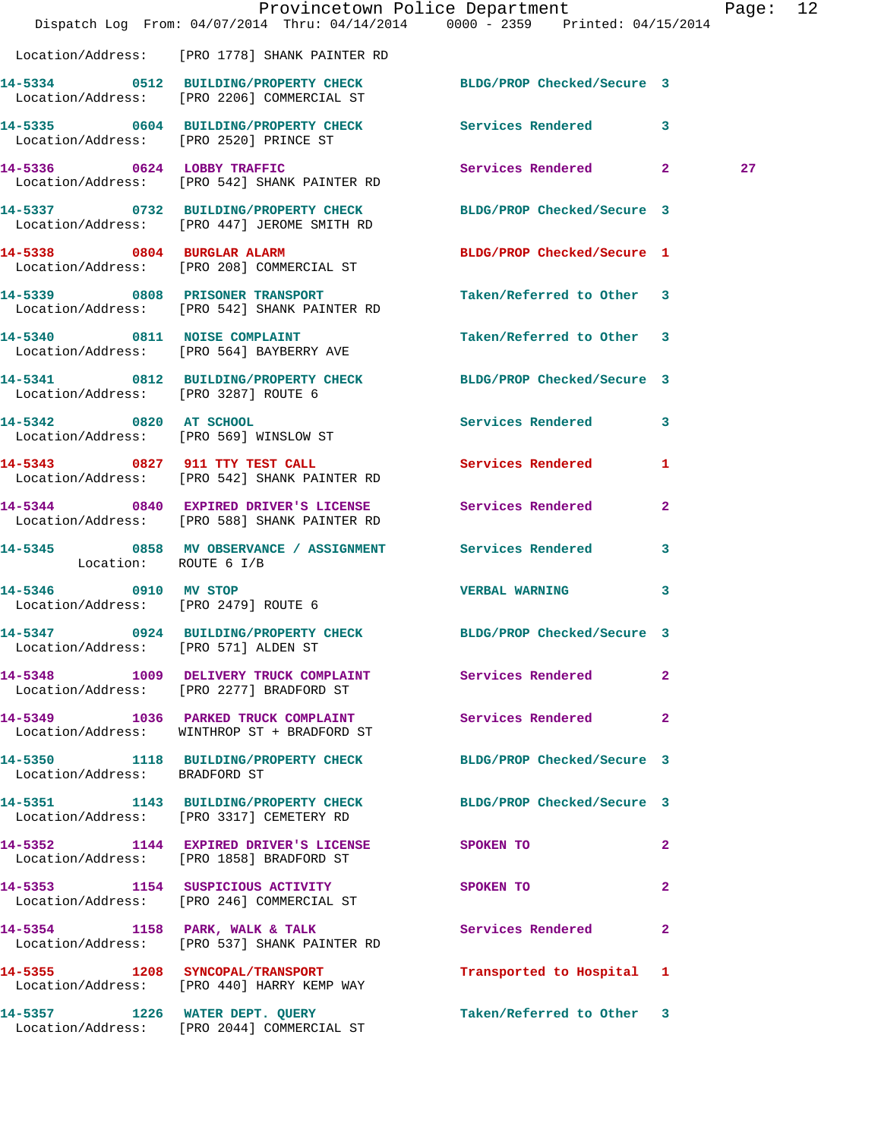|                                        | Dispatch Log From: 04/07/2014 Thru: 04/14/2014 0000 - 2359 Printed: 04/15/2014                                 | Provincetown Police Department |                | Page: 12 |  |
|----------------------------------------|----------------------------------------------------------------------------------------------------------------|--------------------------------|----------------|----------|--|
|                                        | Location/Address: [PRO 1778] SHANK PAINTER RD                                                                  |                                |                |          |  |
|                                        | 14-5334 0512 BUILDING/PROPERTY CHECK BLDG/PROP Checked/Secure 3<br>Location/Address: [PRO 2206] COMMERCIAL ST  |                                |                |          |  |
| Location/Address: [PRO 2520] PRINCE ST | 14-5335 0604 BUILDING/PROPERTY CHECK Services Rendered 3                                                       |                                |                |          |  |
|                                        | 14-5336 0624 LOBBY TRAFFIC<br>Location/Address: [PRO 542] SHANK PAINTER RD                                     | Services Rendered 2            |                | 27       |  |
|                                        | 14-5337 0732 BUILDING/PROPERTY CHECK BLDG/PROP Checked/Secure 3<br>Location/Address: [PRO 447] JEROME SMITH RD |                                |                |          |  |
|                                        | 14-5338 0804 BURGLAR ALARM<br>Location/Address: [PRO 208] COMMERCIAL ST                                        | BLDG/PROP Checked/Secure 1     |                |          |  |
|                                        | 14-5339 0808 PRISONER TRANSPORT<br>Location/Address: [PRO 542] SHANK PAINTER RD                                | Taken/Referred to Other 3      |                |          |  |
|                                        | 14-5340 0811 NOISE COMPLAINT<br>Location/Address: [PRO 564] BAYBERRY AVE                                       | Taken/Referred to Other 3      |                |          |  |
| Location/Address: [PRO 3287] ROUTE 6   | 14-5341 0812 BUILDING/PROPERTY CHECK BLDG/PROP Checked/Secure 3                                                |                                |                |          |  |
|                                        | 14-5342 0820 AT SCHOOL<br>Location/Address: [PRO 569] WINSLOW ST                                               | Services Rendered 3            |                |          |  |
|                                        | 14-5343 0827 911 TTY TEST CALL<br>Location/Address: [PRO 542] SHANK PAINTER RD                                 | Services Rendered 1            |                |          |  |
|                                        | 14-5344 0840 EXPIRED DRIVER'S LICENSE<br>Location/Address: [PRO 588] SHANK PAINTER RD                          | Services Rendered              | $\mathbf{2}$   |          |  |
| Location: ROUTE 6 I/B                  | 14-5345 0858 MV OBSERVANCE / ASSIGNMENT Services Rendered 3                                                    |                                |                |          |  |
| Location/Address: [PRO 2479] ROUTE 6   | 14-5346 0910 MV STOP                                                                                           | <b>VERBAL WARNING</b>          | 3              |          |  |
| Location/Address: [PRO 571] ALDEN ST   | 14-5347 0924 BUILDING/PROPERTY CHECK BLDG/PROP Checked/Secure 3                                                |                                |                |          |  |
|                                        | 14-5348 1009 DELIVERY TRUCK COMPLAINT Services Rendered<br>Location/Address: [PRO 2277] BRADFORD ST            |                                | $\mathbf{2}$   |          |  |
|                                        | 14-5349 1036 PARKED TRUCK COMPLAINT<br>Location/Address: WINTHROP ST + BRADFORD ST                             | <b>Services Rendered 22</b>    |                |          |  |
| Location/Address: BRADFORD ST          | 14-5350 1118 BUILDING/PROPERTY CHECK BLDG/PROP Checked/Secure 3                                                |                                |                |          |  |
|                                        | 14-5351 1143 BUILDING/PROPERTY CHECK BLDG/PROP Checked/Secure 3<br>Location/Address: [PRO 3317] CEMETERY RD    |                                |                |          |  |
|                                        | 14-5352 1144 EXPIRED DRIVER'S LICENSE SPOKEN TO<br>Location/Address: [PRO 1858] BRADFORD ST                    |                                | $\mathbf{2}$   |          |  |
|                                        | 14-5353 1154 SUSPICIOUS ACTIVITY SPOKEN TO<br>Location/Address: [PRO 246] COMMERCIAL ST                        |                                | $\overline{2}$ |          |  |
|                                        | 14-5354 1158 PARK, WALK & TALK<br>Location/Address: [PRO 537] SHANK PAINTER RD                                 | Services Rendered 2            |                |          |  |
|                                        | 14-5355 1208 SYNCOPAL/TRANSPORT<br>Location/Address: [PRO 440] HARRY KEMP WAY                                  | Transported to Hospital 1      |                |          |  |
|                                        | 14-5357 1226 WATER DEPT. QUERY<br>Location/Address: [PRO 2044] COMMERCIAL ST                                   | Taken/Referred to Other 3      |                |          |  |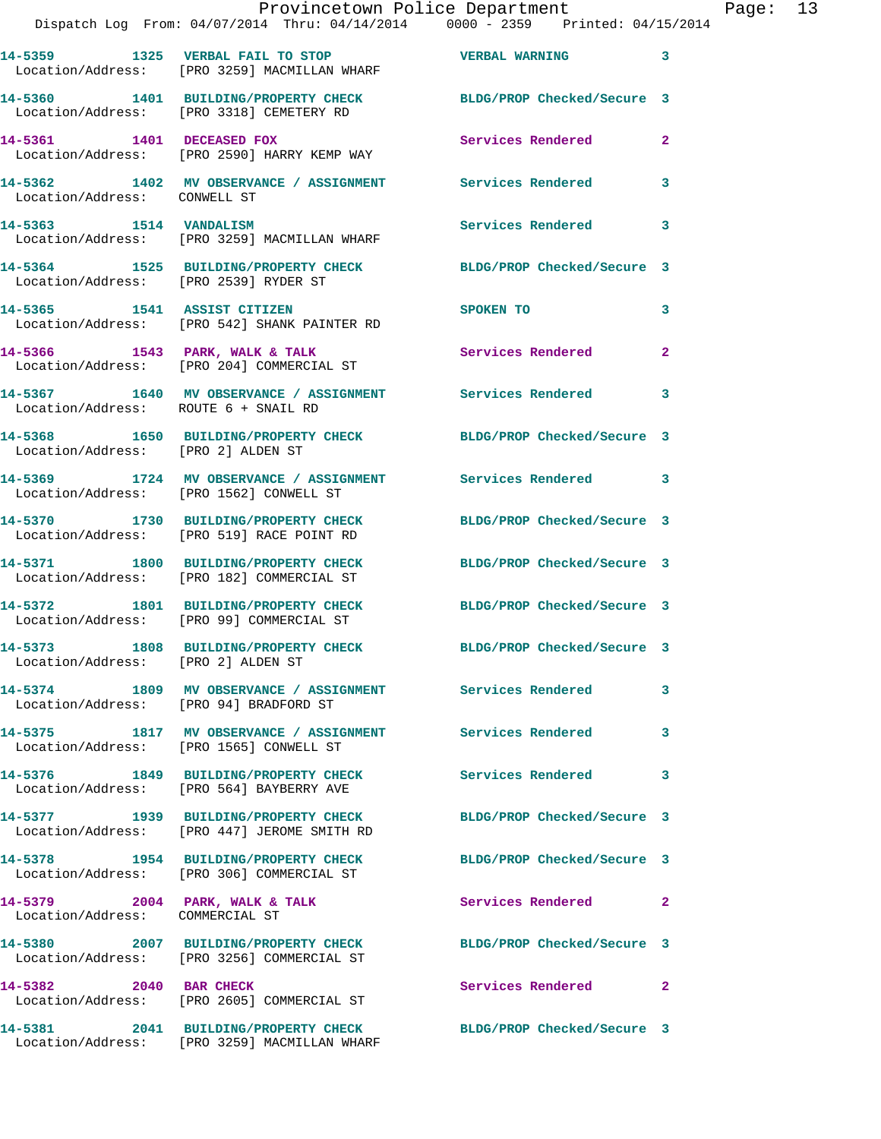|                                        | Provincetown Police Department<br>Dispatch Log From: 04/07/2014 Thru: 04/14/2014 0000 - 2359 Printed: 04/15/2014 |                            |              |
|----------------------------------------|------------------------------------------------------------------------------------------------------------------|----------------------------|--------------|
|                                        | 14-5359 1325 VERBAL FAIL TO STOP<br>Location/Address: [PRO 3259] MACMILLAN WHARF                                 | <b>VERBAL WARNING</b>      | 3            |
|                                        | 14-5360 1401 BUILDING/PROPERTY CHECK BLDG/PROP Checked/Secure 3<br>Location/Address: [PRO 3318] CEMETERY RD      |                            |              |
| 14-5361 1401 DECEASED FOX              | Location/Address: [PRO 2590] HARRY KEMP WAY                                                                      | Services Rendered          | $\mathbf{2}$ |
| Location/Address: CONWELL ST           | 14-5362 1402 MV OBSERVANCE / ASSIGNMENT Services Rendered                                                        |                            | 3            |
| 14-5363 1514 VANDALISM                 | Location/Address: [PRO 3259] MACMILLAN WHARF                                                                     | <b>Services Rendered</b>   | 3            |
| Location/Address: [PRO 2539] RYDER ST  | 14-5364 1525 BUILDING/PROPERTY CHECK BLDG/PROP Checked/Secure 3                                                  |                            |              |
|                                        | 14-5365 1541 ASSIST CITIZEN<br>Location/Address: [PRO 542] SHANK PAINTER RD                                      | <b>SPOKEN TO</b>           | 3            |
|                                        | 14-5366 1543 PARK, WALK & TALK<br>Location/Address: [PRO 204] COMMERCIAL ST                                      | Services Rendered          | $\mathbf{2}$ |
| Location/Address: ROUTE 6 + SNAIL RD   | 14-5367 1640 MV OBSERVANCE / ASSIGNMENT Services Rendered                                                        |                            | 3            |
| Location/Address: [PRO 2] ALDEN ST     | 14-5368 1650 BUILDING/PROPERTY CHECK BLDG/PROP Checked/Secure 3                                                  |                            |              |
|                                        | 14-5369 1724 MV OBSERVANCE / ASSIGNMENT Services Rendered<br>Location/Address: [PRO 1562] CONWELL ST             |                            | 3            |
|                                        | 14-5370 1730 BUILDING/PROPERTY CHECK<br>Location/Address: [PRO 519] RACE POINT RD                                | BLDG/PROP Checked/Secure 3 |              |
|                                        | 14-5371 1800 BUILDING/PROPERTY CHECK<br>Location/Address: [PRO 182] COMMERCIAL ST                                | BLDG/PROP Checked/Secure 3 |              |
|                                        | 14-5372 1801 BUILDING/PROPERTY CHECK<br>Location/Address: [PRO 99] COMMERCIAL ST                                 | BLDG/PROP Checked/Secure 3 |              |
| Location/Address: [PRO 2] ALDEN ST     | 14-5373 1808 BUILDING/PROPERTY CHECK                                                                             | BLDG/PROP Checked/Secure 3 |              |
| Location/Address: [PRO 94] BRADFORD ST | 14-5374 1809 MV OBSERVANCE / ASSIGNMENT Services Rendered                                                        |                            | 3            |
|                                        | 14-5375 1817 MV OBSERVANCE / ASSIGNMENT Services Rendered<br>Location/Address: [PRO 1565] CONWELL ST             |                            | 3            |
|                                        | 14-5376 1849 BUILDING/PROPERTY CHECK<br>Location/Address: [PRO 564] BAYBERRY AVE                                 | <b>Services Rendered</b>   | 3            |
|                                        | 14-5377 1939 BUILDING/PROPERTY CHECK BLDG/PROP Checked/Secure 3<br>Location/Address: [PRO 447] JEROME SMITH RD   |                            |              |
|                                        | 14-5378 1954 BUILDING/PROPERTY CHECK<br>Location/Address: [PRO 306] COMMERCIAL ST                                | BLDG/PROP Checked/Secure 3 |              |
| Location/Address: COMMERCIAL ST        | 14-5379 2004 PARK, WALK & TALK                                                                                   | Services Rendered          | 2            |
|                                        | 14-5380 2007 BUILDING/PROPERTY CHECK<br>Location/Address: [PRO 3256] COMMERCIAL ST                               | BLDG/PROP Checked/Secure 3 |              |
| 14-5382 2040 BAR CHECK                 | Location/Address: [PRO 2605] COMMERCIAL ST                                                                       | Services Rendered          | 2            |
|                                        | 14-5381 2041 BUILDING/PROPERTY CHECK                                                                             | BLDG/PROP Checked/Secure 3 |              |

Location/Address: [PRO 3259] MACMILLAN WHARF

Page:  $13$ <br> $14$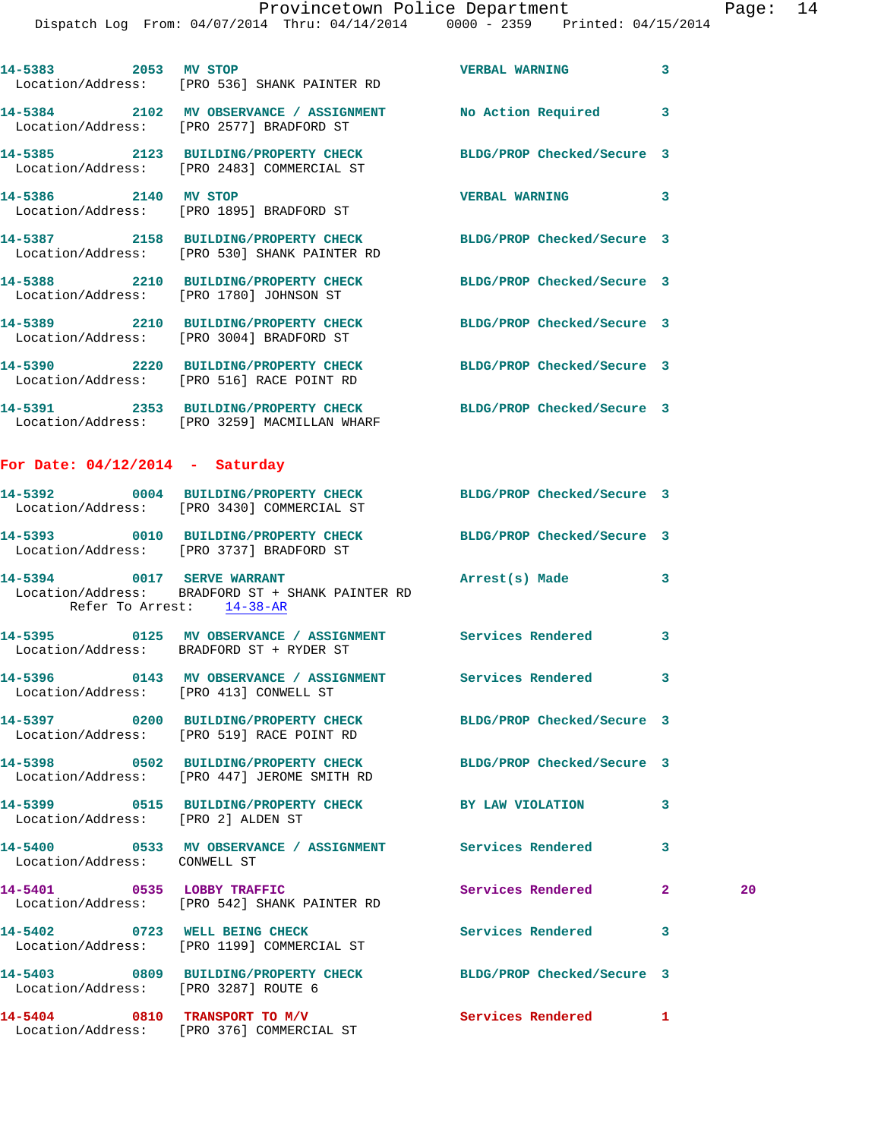| 14-5383 2053 MV STOP                   | Location/Address: [PRO 536] SHANK PAINTER RD                                                                    | <b>VERBAL WARNING</b>      | 3                  |
|----------------------------------------|-----------------------------------------------------------------------------------------------------------------|----------------------------|--------------------|
|                                        | 14-5384 2102 MV OBSERVANCE / ASSIGNMENT No Action Required<br>Location/Address: [PRO 2577] BRADFORD ST          |                            | 3                  |
|                                        | 14-5385 2123 BUILDING/PROPERTY CHECK BLDG/PROP Checked/Secure 3<br>Location/Address: [PRO 2483] COMMERCIAL ST   |                            |                    |
| 14-5386 2140 MV STOP                   | Location/Address: [PRO 1895] BRADFORD ST                                                                        | <b>VERBAL WARNING</b>      | 3                  |
|                                        | 14-5387 2158 BUILDING/PROPERTY CHECK BLDG/PROP Checked/Secure 3<br>Location/Address: [PRO 530] SHANK PAINTER RD |                            |                    |
|                                        | 14-5388 2210 BUILDING/PROPERTY CHECK<br>Location/Address: [PRO 1780] JOHNSON ST                                 | BLDG/PROP Checked/Secure 3 |                    |
|                                        | 14-5389 2210 BUILDING/PROPERTY CHECK BLDG/PROP Checked/Secure 3<br>Location/Address: [PRO 3004] BRADFORD ST     |                            |                    |
|                                        | 14-5390 2220 BUILDING/PROPERTY CHECK BLDG/PROP Checked/Secure 3<br>Location/Address: [PRO 516] RACE POINT RD    |                            |                    |
|                                        | 14-5391 2353 BUILDING/PROPERTY CHECK BLDG/PROP Checked/Secure 3<br>Location/Address: [PRO 3259] MACMILLAN WHARF |                            |                    |
| For Date: $04/12/2014$ - Saturday      |                                                                                                                 |                            |                    |
|                                        | 14-5392 0004 BUILDING/PROPERTY CHECK BLDG/PROP Checked/Secure 3<br>Location/Address: [PRO 3430] COMMERCIAL ST   |                            |                    |
|                                        | 14-5393 0010 BUILDING/PROPERTY CHECK<br>Location/Address: [PRO 3737] BRADFORD ST                                | BLDG/PROP Checked/Secure 3 |                    |
| Refer To Arrest: 14-38-AR              | 14-5394 0017 SERVE WARRANT<br>Location/Address: BRADFORD ST + SHANK PAINTER RD                                  | Arrest(s) Made             | 3                  |
|                                        | 14-5395 0125 MV OBSERVANCE / ASSIGNMENT Services Rendered<br>Location/Address: BRADFORD ST + RYDER ST           |                            | 3                  |
| Location/Address: [PRO 413] CONWELL ST | 14-5396 0143 MV OBSERVANCE / ASSIGNMENT Services Rendered                                                       |                            | 3                  |
|                                        | 14-5397 0200 BUILDING/PROPERTY CHECK BLDG/PROP Checked/Secure 3<br>Location/Address: [PRO 519] RACE POINT RD    |                            |                    |
|                                        | 14-5398 0502 BUILDING/PROPERTY CHECK BLDG/PROP Checked/Secure 3<br>Location/Address: [PRO 447] JEROME SMITH RD  |                            |                    |
| Location/Address: [PRO 2] ALDEN ST     | 14-5399 0515 BUILDING/PROPERTY CHECK BY LAW VIOLATION                                                           |                            | 3                  |
| Location/Address: CONWELL ST           | 14-5400 0533 MV OBSERVANCE / ASSIGNMENT Services Rendered                                                       |                            | 3                  |
|                                        | 14-5401 0535 LOBBY TRAFFIC<br>Location/Address: [PRO 542] SHANK PAINTER RD                                      | Services Rendered          | $\mathbf{2}$<br>20 |
|                                        | 14-5402 0723 WELL BEING CHECK<br>Location/Address: [PRO 1199] COMMERCIAL ST                                     | Services Rendered          | 3                  |
| Location/Address: [PRO 3287] ROUTE 6   | 14-5403 0809 BUILDING/PROPERTY CHECK                                                                            | BLDG/PROP Checked/Secure 3 |                    |
|                                        | 14-5404 0810 TRANSPORT TO M/V<br>Location/Address: [PRO 376] COMMERCIAL ST                                      | Services Rendered          | 1                  |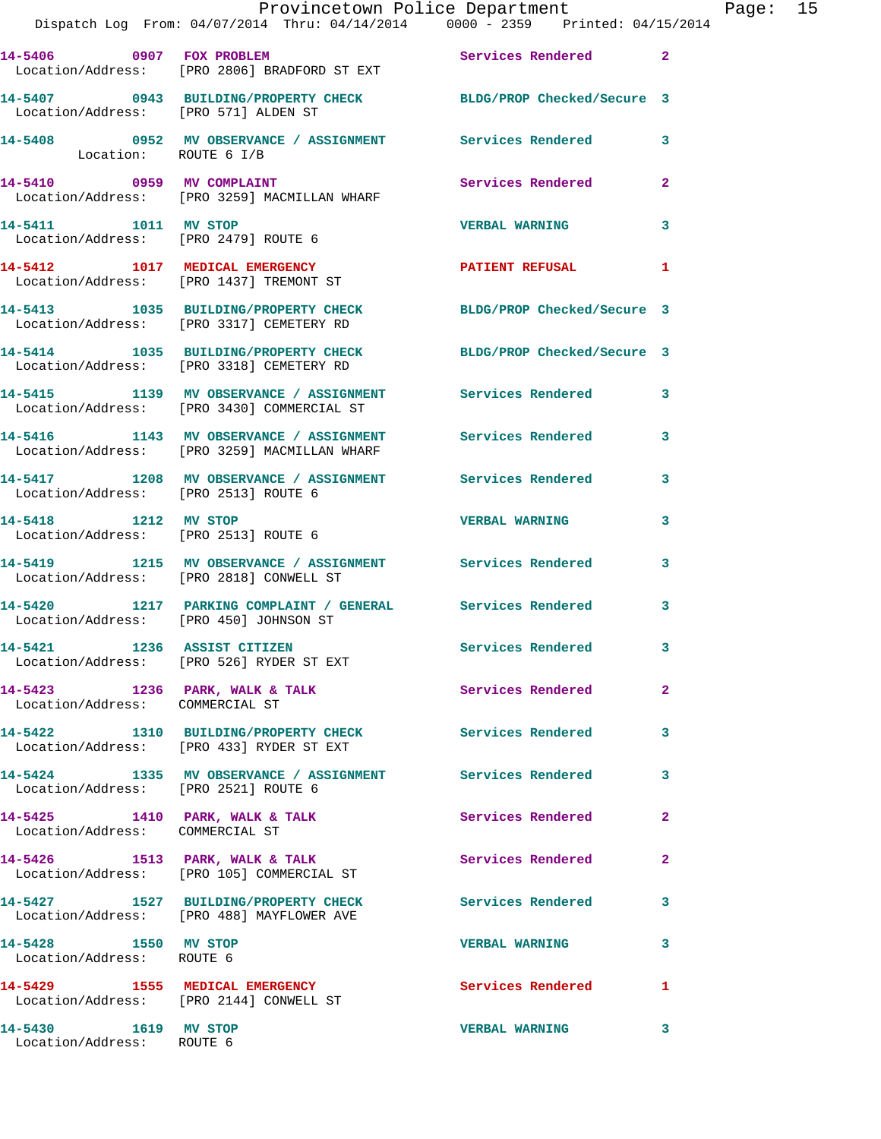|                                                   | Provincetown Police Department The Rage: 15<br>Dispatch Log From: 04/07/2014 Thru: 04/14/2014   0000 - 2359   Printed: 04/15/2014 |                          |                |  |
|---------------------------------------------------|-----------------------------------------------------------------------------------------------------------------------------------|--------------------------|----------------|--|
|                                                   | 14-5406 0907 FOX PROBLEM Services Rendered 2<br>Location/Address: [PRO 2806] BRADFORD ST EXT                                      |                          |                |  |
|                                                   | 14-5407 0943 BUILDING/PROPERTY CHECK BLDG/PROP Checked/Secure 3<br>Location/Address: [PRO 571] ALDEN ST                           |                          |                |  |
|                                                   | 14-5408 0952 MV OBSERVANCE / ASSIGNMENT Services Rendered 3<br>Location: ROUTE 6 I/B                                              |                          |                |  |
|                                                   | 14-5410 0959 MV COMPLAINT Services Rendered<br>Location/Address: [PRO 3259] MACMILLAN WHARF                                       |                          | $\mathbf{2}$   |  |
| 14-5411 1011 MV STOP                              | Location/Address: [PRO 2479] ROUTE 6                                                                                              | <b>VERBAL WARNING</b>    | $\mathbf{3}$   |  |
|                                                   | 14-5412 1017 MEDICAL EMERGENCY PATIENT REFUSAL<br>Location/Address: [PRO 1437] TREMONT ST                                         |                          | 1              |  |
|                                                   | 14-5413 1035 BUILDING/PROPERTY CHECK BLDG/PROP Checked/Secure 3<br>Location/Address: [PRO 3317] CEMETERY RD                       |                          |                |  |
|                                                   | 14-5414 1035 BUILDING/PROPERTY CHECK BLDG/PROP Checked/Secure 3<br>Location/Address: [PRO 3318] CEMETERY RD                       |                          |                |  |
|                                                   | 14-5415 1139 MV OBSERVANCE / ASSIGNMENT Services Rendered 3<br>Location/Address: [PRO 3430] COMMERCIAL ST                         |                          |                |  |
|                                                   | 14-5416 1143 MV OBSERVANCE / ASSIGNMENT Services Rendered<br>Location/Address: [PRO 3259] MACMILLAN WHARF                         |                          | 3              |  |
|                                                   | 14-5417 1208 MV OBSERVANCE / ASSIGNMENT Services Rendered 3<br>Location/Address: [PRO 2513] ROUTE 6                               |                          |                |  |
| Location/Address: [PRO 2513] ROUTE 6              | 14-5418 1212 MV STOP                                                                                                              | <b>VERBAL WARNING</b>    | 3              |  |
|                                                   | 14-5419 1215 MV OBSERVANCE / ASSIGNMENT Services Rendered 3<br>Location/Address: [PRO 2818] CONWELL ST                            |                          |                |  |
|                                                   | 14-5420 1217 PARKING COMPLAINT / GENERAL Services Rendered 3<br>Location/Address: [PRO 450] JOHNSON ST                            |                          |                |  |
|                                                   | 14-5421 1236 ASSIST CITIZEN 5ervices Rendered<br>Location/Address: [PRO 526] RYDER ST EXT                                         |                          |                |  |
| Location/Address: COMMERCIAL ST                   | 14-5423 1236 PARK, WALK & TALK 6 Services Rendered                                                                                |                          | $\overline{2}$ |  |
|                                                   | 14-5422 1310 BUILDING/PROPERTY CHECK Services Rendered<br>Location/Address: [PRO 433] RYDER ST EXT                                |                          | 3              |  |
| Location/Address: [PRO 2521] ROUTE 6              | 14-5424 1335 MV OBSERVANCE / ASSIGNMENT Services Rendered                                                                         |                          | 3              |  |
| Location/Address: COMMERCIAL ST                   | 14-5425 1410 PARK, WALK & TALK                                                                                                    | <b>Services Rendered</b> | $\mathbf{2}$   |  |
|                                                   | 14-5426 1513 PARK, WALK & TALK<br>Location/Address: [PRO 105] COMMERCIAL ST                                                       | Services Rendered        | $\mathbf{2}$   |  |
|                                                   | 14-5427 1527 BUILDING/PROPERTY CHECK Services Rendered<br>Location/Address: [PRO 488] MAYFLOWER AVE                               |                          | 3              |  |
| 14-5428 1550 MV STOP<br>Location/Address: ROUTE 6 |                                                                                                                                   | <b>VERBAL WARNING</b>    | 3              |  |
|                                                   | 14-5429 1555 MEDICAL EMERGENCY<br>Location/Address: [PRO 2144] CONWELL ST                                                         | <b>Services Rendered</b> | 1              |  |
| 14-5430 1619 MV STOP<br>Location/Address: ROUTE 6 |                                                                                                                                   | <b>VERBAL WARNING</b>    | 3              |  |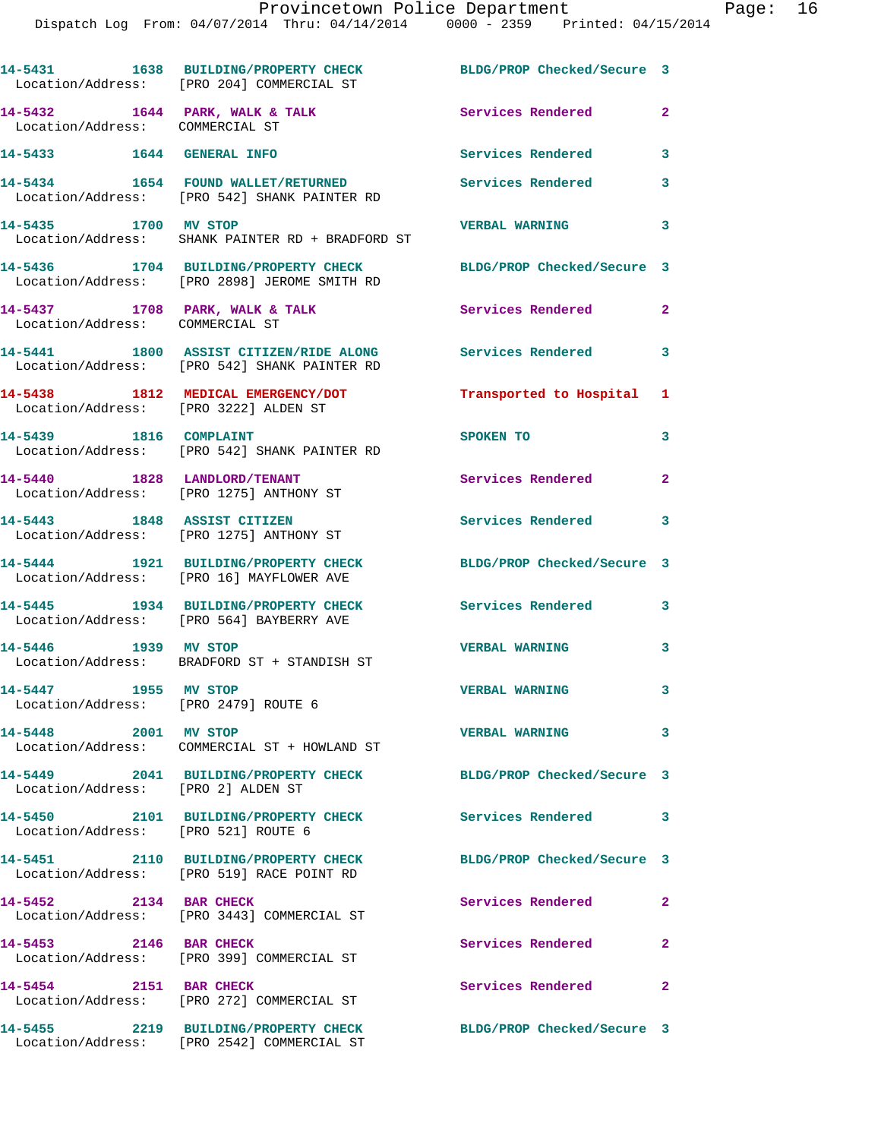|                                                                       | 14-5431 1638 BUILDING/PROPERTY CHECK BLDG/PROP Checked/Secure 3<br>Location/Address: [PRO 204] COMMERCIAL ST |                               |                         |
|-----------------------------------------------------------------------|--------------------------------------------------------------------------------------------------------------|-------------------------------|-------------------------|
| $14-5432$ $1644$ PARK, WALK & TALK<br>Location/Address: COMMERCIAL ST |                                                                                                              | Services Rendered             | $\mathbf{2}$            |
| 14-5433 1644 GENERAL INFO                                             |                                                                                                              | Services Rendered             | 3                       |
|                                                                       | 14-5434 1654 FOUND WALLET/RETURNED Services Rendered<br>Location/Address: [PRO 542] SHANK PAINTER RD         |                               | 3                       |
| 14-5435 1700 MV STOP                                                  | Location/Address: SHANK PAINTER RD + BRADFORD ST                                                             | <b>VERBAL WARNING</b>         | 3                       |
|                                                                       | 14-5436 1704 BUILDING/PROPERTY CHECK<br>Location/Address: [PRO 2898] JEROME SMITH RD                         | BLDG/PROP Checked/Secure 3    |                         |
| 14-5437 1708 PARK, WALK & TALK<br>Location/Address: COMMERCIAL ST     |                                                                                                              | Services Rendered             | $\mathbf{2}$            |
|                                                                       | 14-5441 1800 ASSIST CITIZEN/RIDE ALONG<br>Location/Address: [PRO 542] SHANK PAINTER RD                       | Services Rendered             | 3                       |
| Location/Address: [PRO 3222] ALDEN ST                                 | 14-5438 1812 MEDICAL EMERGENCY/DOT                                                                           | Transported to Hospital 1     |                         |
| 14-5439 1816 COMPLAINT                                                | Location/Address: [PRO 542] SHANK PAINTER RD                                                                 | SPOKEN TO                     | 3                       |
| 14-5440 1828 LANDLORD/TENANT                                          | Location/Address: [PRO 1275] ANTHONY ST                                                                      | Services Rendered             | $\mathbf{2}$            |
|                                                                       | 14-5443 1848 ASSIST CITIZEN<br>Location/Address: [PRO 1275] ANTHONY ST                                       | Services Rendered 3           |                         |
|                                                                       | 14-5444 1921 BUILDING/PROPERTY CHECK<br>Location/Address: [PRO 16] MAYFLOWER AVE                             | BLDG/PROP Checked/Secure 3    |                         |
|                                                                       | 14-5445 1934 BUILDING/PROPERTY CHECK<br>Location/Address: [PRO 564] BAYBERRY AVE                             | Services Rendered             | 3                       |
| 14-5446 1939 MV STOP                                                  | Location/Address: BRADFORD ST + STANDISH ST                                                                  | <b>VERBAL WARNING</b>         | 3                       |
| 14-5447 1955 MV STOP<br>Location/Address: [PRO 2479] ROUTE 6          |                                                                                                              | <b>VERBAL WARNING</b>         | 3                       |
| 14-5448 2001 MV STOP                                                  | Location/Address: COMMERCIAL ST + HOWLAND ST                                                                 | <b>VERBAL WARNING</b>         | $\overline{\mathbf{3}}$ |
| Location/Address: [PRO 2] ALDEN ST                                    | 14-5449 2041 BUILDING/PROPERTY CHECK                                                                         | BLDG/PROP Checked/Secure 3    |                         |
| Location/Address: [PRO 521] ROUTE 6                                   | 14-5450 2101 BUILDING/PROPERTY CHECK                                                                         | <b>Services Rendered</b>      | 3                       |
|                                                                       | 14-5451 2110 BUILDING/PROPERTY CHECK<br>Location/Address: [PRO 519] RACE POINT RD                            | BLDG/PROP Checked/Secure 3    |                         |
| 14-5452 2134 BAR CHECK                                                | Location/Address: [PRO 3443] COMMERCIAL ST                                                                   | Services Rendered             | $\mathbf{2}$            |
| 14-5453 2146 BAR CHECK                                                | Location/Address: [PRO 399] COMMERCIAL ST                                                                    | Services Rendered             | $\overline{2}$          |
| 14-5454 2151 BAR CHECK                                                | Location/Address: [PRO 272] COMMERCIAL ST                                                                    | Services Rendered<br>$\sim$ 2 |                         |
|                                                                       | 14-5455 2219 BUILDING/PROPERTY CHECK<br>Location/Address: [PRO 2542] COMMERCIAL ST                           | BLDG/PROP Checked/Secure 3    |                         |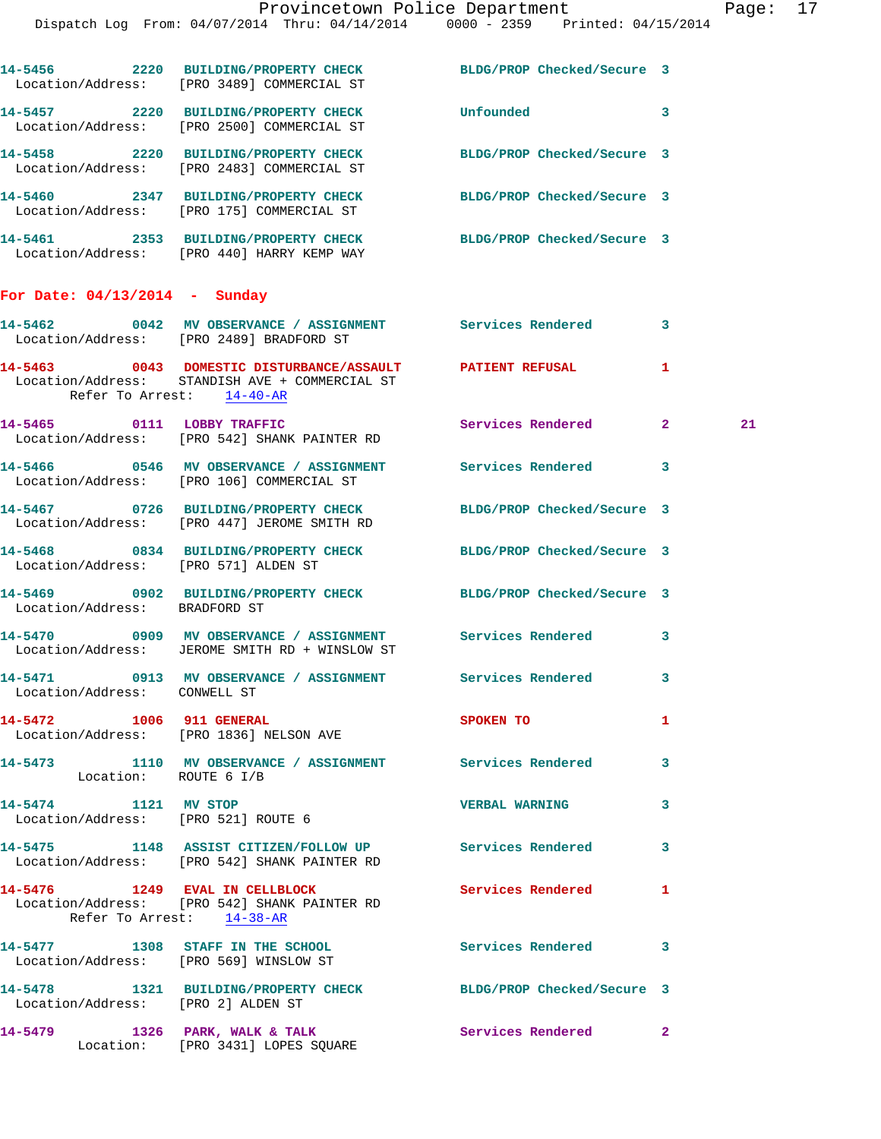|                                                             | 14-5456 2220 BUILDING/PROPERTY CHECK BLDG/PROP Checked/Secure 3<br>Location/Address: [PRO 3489] COMMERCIAL ST |                            |              |    |
|-------------------------------------------------------------|---------------------------------------------------------------------------------------------------------------|----------------------------|--------------|----|
|                                                             | 14-5457 2220 BUILDING/PROPERTY CHECK<br>Location/Address: [PRO 2500] COMMERCIAL ST                            | Unfounded                  | $\mathbf{3}$ |    |
|                                                             | 14-5458 2220 BUILDING/PROPERTY CHECK<br>Location/Address: [PRO 2483] COMMERCIAL ST                            | BLDG/PROP Checked/Secure 3 |              |    |
|                                                             | 14-5460 2347 BUILDING/PROPERTY CHECK<br>Location/Address: [PRO 175] COMMERCIAL ST                             | BLDG/PROP Checked/Secure 3 |              |    |
|                                                             | 14-5461 2353 BUILDING/PROPERTY CHECK BLDG/PROP Checked/Secure 3<br>Location/Address: [PRO 440] HARRY KEMP WAY |                            |              |    |
| For Date: $04/13/2014$ - Sunday                             |                                                                                                               |                            |              |    |
|                                                             | 14-5462 0042 MV OBSERVANCE / ASSIGNMENT Services Rendered 3<br>Location/Address: [PRO 2489] BRADFORD ST       |                            |              |    |
| Refer To Arrest: 14-40-AR                                   | 14-5463  0043 DOMESTIC DISTURBANCE/ASSAULT  PATIENT REFUSAL<br>Location/Address: STANDISH AVE + COMMERCIAL ST |                            | 1            |    |
|                                                             | 14-5465 0111 LOBBY TRAFFIC<br>Location/Address: [PRO 542] SHANK PAINTER RD                                    | Services Rendered 2        |              | 21 |
|                                                             | 14-5466 6 0546 MV OBSERVANCE / ASSIGNMENT 6 Services Rendered 3<br>Location/Address: [PRO 106] COMMERCIAL ST  |                            |              |    |
|                                                             | 14-5467 0726 BUILDING/PROPERTY CHECK<br>Location/Address: [PRO 447] JEROME SMITH RD                           | BLDG/PROP Checked/Secure 3 |              |    |
| Location/Address: [PRO 571] ALDEN ST                        | 14-5468 0834 BUILDING/PROPERTY CHECK BLDG/PROP Checked/Secure 3                                               |                            |              |    |
| Location/Address: BRADFORD ST                               | 14-5469 0902 BUILDING/PROPERTY CHECK BLDG/PROP Checked/Secure 3                                               |                            |              |    |
|                                                             | 14-5470 0909 MV OBSERVANCE / ASSIGNMENT Services Rendered 3<br>Location/Address: JEROME SMITH RD + WINSLOW ST |                            |              |    |
| Location/Address: CONWELL ST                                | 14-5471 0913 MV OBSERVANCE / ASSIGNMENT Services Rendered                                                     |                            | 3            |    |
|                                                             | 14-5472 1006 911 GENERAL<br>Location/Address: [PRO 1836] NELSON AVE                                           | SPOKEN TO                  | 1            |    |
| Location: ROUTE 6 I/B                                       | 14-5473 1110 MV OBSERVANCE / ASSIGNMENT Services Rendered 3                                                   |                            |              |    |
| 14-5474 1121 MV STOP<br>Location/Address: [PRO 521] ROUTE 6 |                                                                                                               | <b>VERBAL WARNING</b>      | 3            |    |
|                                                             | 14-5475 1148 ASSIST CITIZEN/FOLLOW UP Services Rendered 3<br>Location/Address: [PRO 542] SHANK PAINTER RD     |                            |              |    |
| Refer To Arrest: 14-38-AR                                   | 14-5476 1249 EVAL IN CELLBLOCK<br>Location/Address: [PRO 542] SHANK PAINTER RD                                | Services Rendered          | $\mathbf{1}$ |    |
| Location/Address: [PRO 569] WINSLOW ST                      | 14-5477 1308 STAFF IN THE SCHOOL 5 Services Rendered 3                                                        |                            |              |    |
| Location/Address: [PRO 2] ALDEN ST                          | 14-5478 1321 BUILDING/PROPERTY CHECK BLDG/PROP Checked/Secure 3                                               |                            |              |    |
|                                                             | 14-5479 1326 PARK, WALK & TALK<br>Location: [PRO 3431] LOPES SQUARE                                           | Services Rendered 2        |              |    |
|                                                             |                                                                                                               |                            |              |    |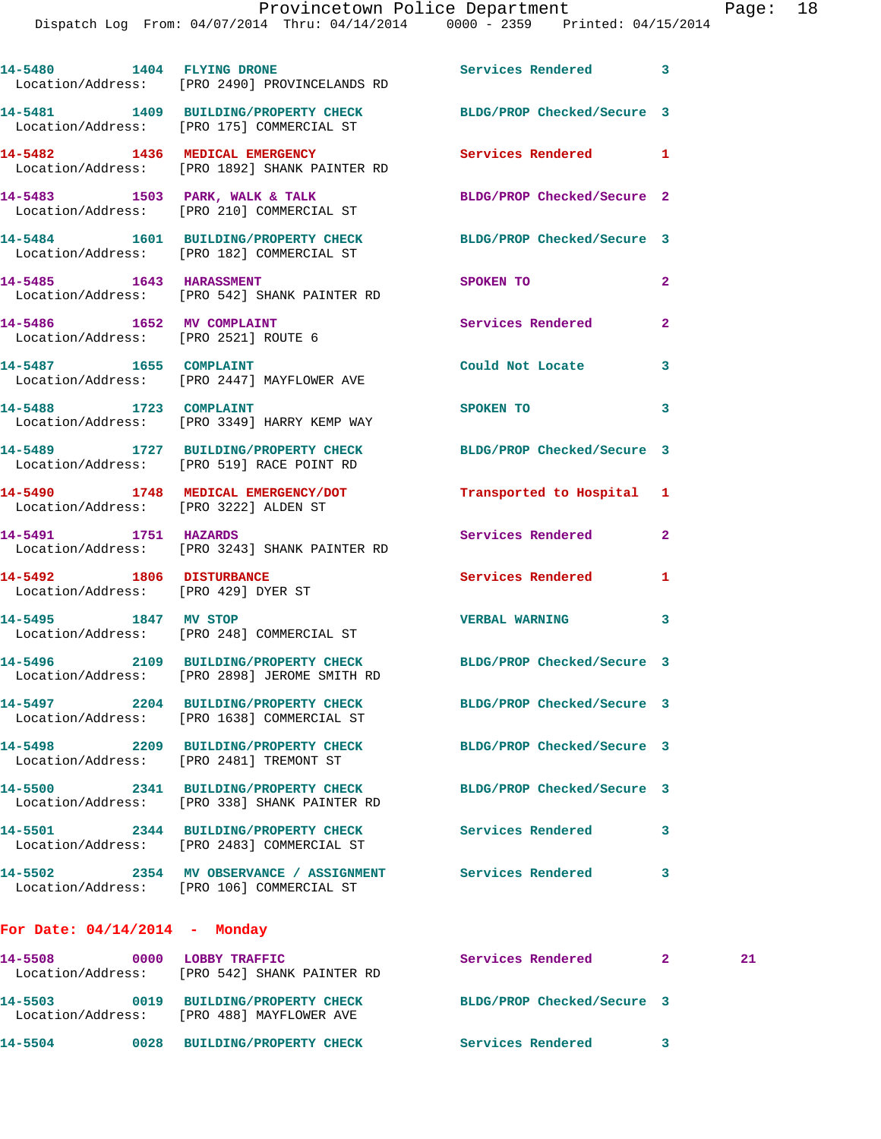|                                                                   | 14-5480 1404 FLYING DRONE<br>Location/Address: [PRO 2490] PROVINCELANDS RD                                      | Services Rendered 3        |                |    |
|-------------------------------------------------------------------|-----------------------------------------------------------------------------------------------------------------|----------------------------|----------------|----|
|                                                                   | 14-5481 1409 BUILDING/PROPERTY CHECK BLDG/PROP Checked/Secure 3<br>Location/Address: [PRO 175] COMMERCIAL ST    |                            |                |    |
|                                                                   | 14-5482 1436 MEDICAL EMERGENCY<br>Location/Address: [PRO 1892] SHANK PAINTER RD                                 | Services Rendered 1        |                |    |
|                                                                   | 14-5483 1503 PARK, WALK & TALK<br>Location/Address: [PRO 210] COMMERCIAL ST                                     | BLDG/PROP Checked/Secure 2 |                |    |
|                                                                   | 14-5484 1601 BUILDING/PROPERTY CHECK BLDG/PROP Checked/Secure 3<br>Location/Address: [PRO 182] COMMERCIAL ST    |                            |                |    |
|                                                                   | 14-5485 1643 HARASSMENT<br>Location/Address: [PRO 542] SHANK PAINTER RD                                         | SPOKEN TO                  | $\mathbf{2}$   |    |
| 14-5486 1652 MV COMPLAINT<br>Location/Address: [PRO 2521] ROUTE 6 |                                                                                                                 | <b>Services Rendered</b>   | $\overline{2}$ |    |
|                                                                   | 14-5487 1655 COMPLAINT<br>Location/Address: [PRO 2447] MAYFLOWER AVE                                            | Could Not Locate           | 3              |    |
| 14-5488 1723 COMPLAINT                                            | Location/Address: [PRO 3349] HARRY KEMP WAY                                                                     | SPOKEN TO                  | 3              |    |
|                                                                   | 14-5489 1727 BUILDING/PROPERTY CHECK<br>Location/Address: [PRO 519] RACE POINT RD                               | BLDG/PROP Checked/Secure 3 |                |    |
| Location/Address: [PRO 3222] ALDEN ST                             | 14-5490 1748 MEDICAL EMERGENCY/DOT                                                                              | Transported to Hospital 1  |                |    |
| 14-5491 1751 HAZARDS                                              | Location/Address: [PRO 3243] SHANK PAINTER RD                                                                   | Services Rendered          | $\mathbf{2}$   |    |
| 14-5492 1806 DISTURBANCE<br>Location/Address: [PRO 429] DYER ST   |                                                                                                                 | Services Rendered          | 1              |    |
| 14-5495 1847 MV STOP                                              | Location/Address: [PRO 248] COMMERCIAL ST                                                                       | VERBAL WARNING 3           |                |    |
|                                                                   | 14-5496 2109 BUILDING/PROPERTY CHECK BLDG/PROP Checked/Secure 3<br>Location/Address: [PRO 2898] JEROME SMITH RD |                            |                |    |
|                                                                   | 14-5497 2204 BUILDING/PROPERTY CHECK<br>Location/Address: [PRO 1638] COMMERCIAL ST                              | BLDG/PROP Checked/Secure 3 |                |    |
| Location/Address: [PRO 2481] TREMONT ST                           | 14-5498 2209 BUILDING/PROPERTY CHECK                                                                            | BLDG/PROP Checked/Secure 3 |                |    |
|                                                                   | 14-5500 2341 BUILDING/PROPERTY CHECK<br>Location/Address: [PRO 338] SHANK PAINTER RD                            | BLDG/PROP Checked/Secure 3 |                |    |
|                                                                   | 14-5501 2344 BUILDING/PROPERTY CHECK<br>Location/Address: [PRO 2483] COMMERCIAL ST                              | <b>Services Rendered</b>   | 3              |    |
|                                                                   | 14-5502 2354 MV OBSERVANCE / ASSIGNMENT Services Rendered<br>Location/Address: [PRO 106] COMMERCIAL ST          |                            | 3              |    |
| For Date: $04/14/2014$ - Monday                                   |                                                                                                                 |                            |                |    |
| 14-5508 0000 LOBBY TRAFFIC                                        | Location/Address: [PRO 542] SHANK PAINTER RD                                                                    | Services Rendered          | $\mathbf{2}$   | 21 |

 Location/Address: [PRO 488] MAYFLOWER AVE **14-5504 0028 BUILDING/PROPERTY CHECK Services Rendered 3** 

**14-5503 0019 BUILDING/PROPERTY CHECK BLDG/PROP Checked/Secure 3**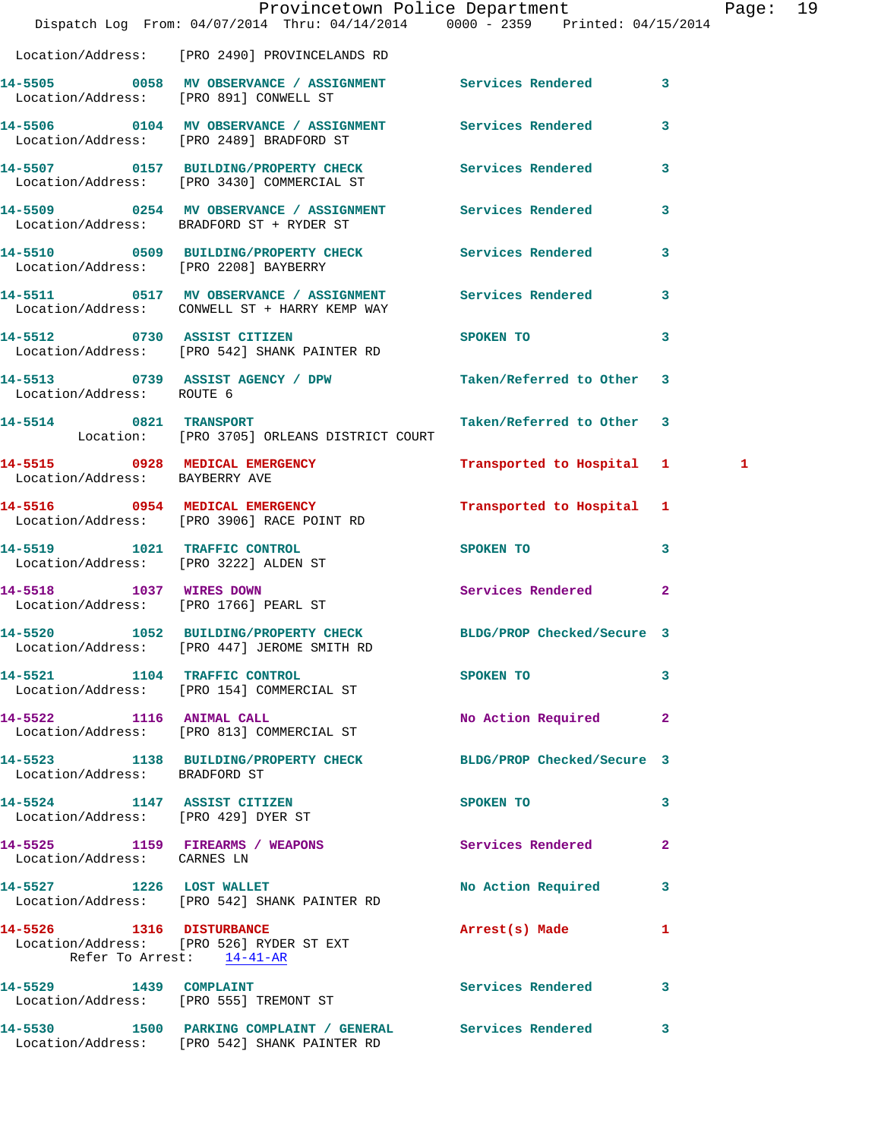|                                                                    | Dispatch Log From: 04/07/2014 Thru: 04/14/2014 0000 - 2359 Printed: 04/15/2014                               | Provincetown Police Department                                                                                 |   | Page: 19 |  |
|--------------------------------------------------------------------|--------------------------------------------------------------------------------------------------------------|----------------------------------------------------------------------------------------------------------------|---|----------|--|
|                                                                    | Location/Address: [PRO 2490] PROVINCELANDS RD                                                                |                                                                                                                |   |          |  |
|                                                                    | 14-5505 0058 MV OBSERVANCE / ASSIGNMENT Services Rendered 3<br>Location/Address: [PRO 891] CONWELL ST        |                                                                                                                |   |          |  |
|                                                                    | 14-5506 0104 MV OBSERVANCE / ASSIGNMENT Services Rendered 3<br>Location/Address: [PRO 2489] BRADFORD ST      |                                                                                                                |   |          |  |
|                                                                    | 14-5507 0157 BUILDING/PROPERTY CHECK Services Rendered 3<br>Location/Address: [PRO 3430] COMMERCIAL ST       |                                                                                                                |   |          |  |
|                                                                    | 14-5509 0254 MV OBSERVANCE / ASSIGNMENT Services Rendered 3<br>Location/Address: BRADFORD ST + RYDER ST      |                                                                                                                |   |          |  |
| Location/Address: [PRO 2208] BAYBERRY                              | 14-5510 0509 BUILDING/PROPERTY CHECK Services Rendered 3                                                     |                                                                                                                |   |          |  |
|                                                                    | 14-5511 0517 MV OBSERVANCE / ASSIGNMENT Services Rendered 3<br>Location/Address: CONWELL ST + HARRY KEMP WAY |                                                                                                                |   |          |  |
|                                                                    | 14-5512 0730 ASSIST CITIZEN<br>Location/Address: [PRO 542] SHANK PAINTER RD                                  | SPOKEN TO                                                                                                      | 3 |          |  |
| Location/Address: ROUTE 6                                          | 14-5513 0739 ASSIST AGENCY / DPW Taken/Referred to Other 3                                                   |                                                                                                                |   |          |  |
|                                                                    | 14-5514 0821 TRANSPORT<br>Location: [PRO 3705] ORLEANS DISTRICT COURT                                        | Taken/Referred to Other 3                                                                                      |   |          |  |
| Location/Address: BAYBERRY AVE                                     | 14-5515 0928 MEDICAL EMERGENCY                                                                               | Transported to Hospital 1                                                                                      |   | 1        |  |
|                                                                    | 14-5516 0954 MEDICAL EMERGENCY<br>Location/Address: [PRO 3906] RACE POINT RD                                 | Transported to Hospital 1                                                                                      |   |          |  |
|                                                                    | 14-5519 1021 TRAFFIC CONTROL<br>Location/Address: [PRO 3222] ALDEN ST                                        | SPOKEN TO 3                                                                                                    |   |          |  |
| Location/Address: [PRO 1766] PEARL ST                              | 14-5518 1037 WIRES DOWN                                                                                      | Services Rendered 2                                                                                            |   |          |  |
| 14-5520                                                            | 1052 BUILDING/PROPERTY CHECK BLDG/PROP Checked/Secure 3<br>Location/Address: [PRO 447] JEROME SMITH RD       |                                                                                                                |   |          |  |
|                                                                    | 14-5521 1104 TRAFFIC CONTROL<br>Location/Address: [PRO 154] COMMERCIAL ST                                    | SPOKEN TO THE STREET OF THE STREET OF THE STREET OF THE STREET OF THE STREET OF THE STREET OF THE STREET OF TH | 3 |          |  |
|                                                                    | 14-5522 1116 ANIMAL CALL<br>Location/Address: [PRO 813] COMMERCIAL ST                                        | No Action Required 2                                                                                           |   |          |  |
| Location/Address: BRADFORD ST                                      | 14-5523 1138 BUILDING/PROPERTY CHECK BLDG/PROP Checked/Secure 3                                              |                                                                                                                |   |          |  |
| 14-5524 1147 ASSIST CITIZEN<br>Location/Address: [PRO 429] DYER ST |                                                                                                              | SPOKEN TO                                                                                                      | 3 |          |  |
| Location/Address: CARNES LN                                        | 14-5525 1159 FIREARMS / WEAPONS                                                                              | Services Rendered 2                                                                                            |   |          |  |
|                                                                    | 14-5527 1226 LOST WALLET<br>Location/Address: [PRO 542] SHANK PAINTER RD                                     | No Action Required 3                                                                                           |   |          |  |
| Refer To Arrest: 14-41-AR                                          | 14-5526 1316 DISTURBANCE<br>Location/Address: [PRO 526] RYDER ST EXT                                         | Arrest(s) Made                                                                                                 | 1 |          |  |
|                                                                    | 14-5529 1439 COMPLAINT<br>Location/Address: [PRO 555] TREMONT ST                                             | Services Rendered 3                                                                                            |   |          |  |
|                                                                    | 14-5530 1500 PARKING COMPLAINT / GENERAL Services Rendered 3<br>Location/Address: [PRO 542] SHANK PAINTER RD |                                                                                                                |   |          |  |